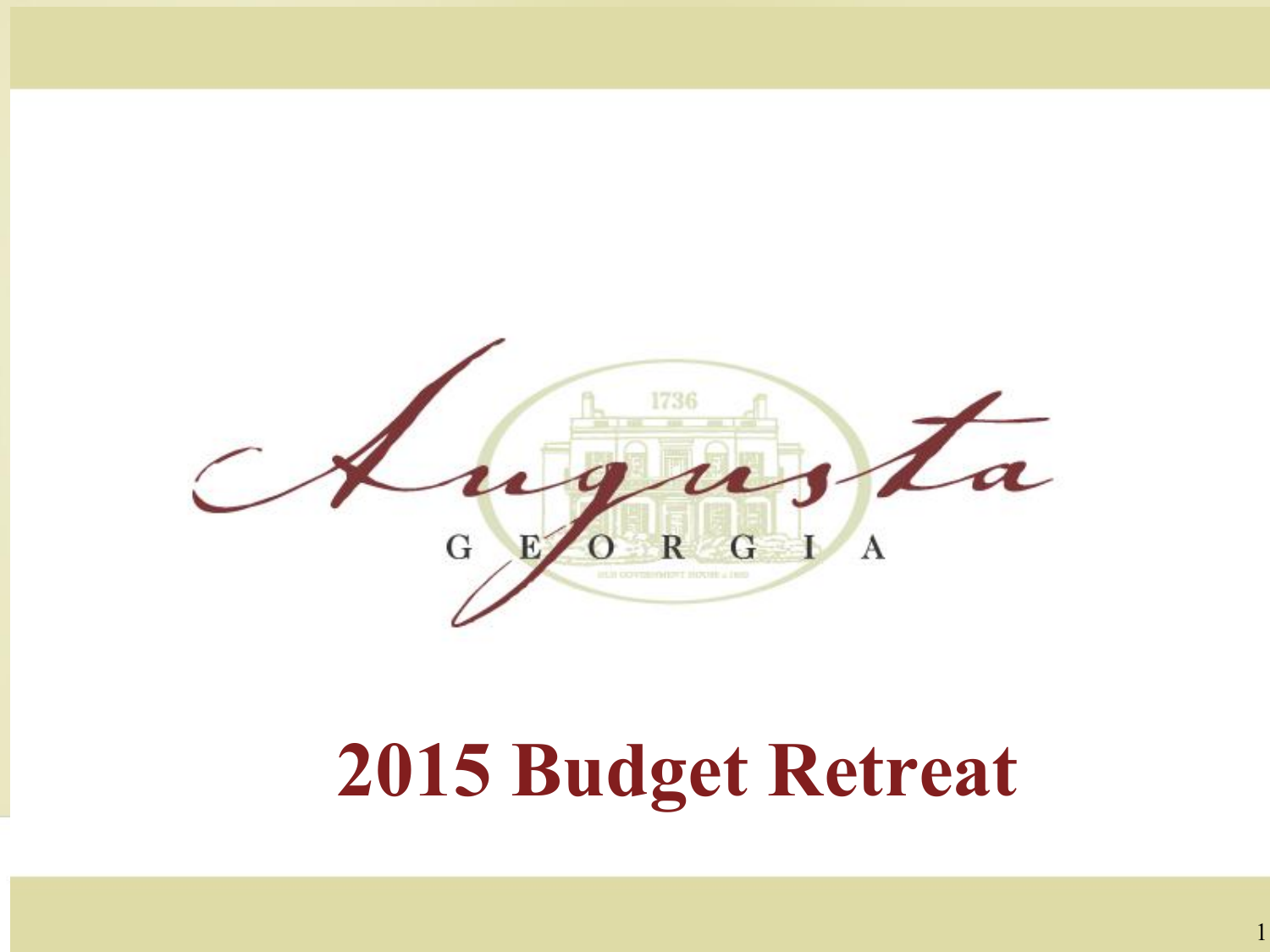

#### **2015 Budget Retreat**

1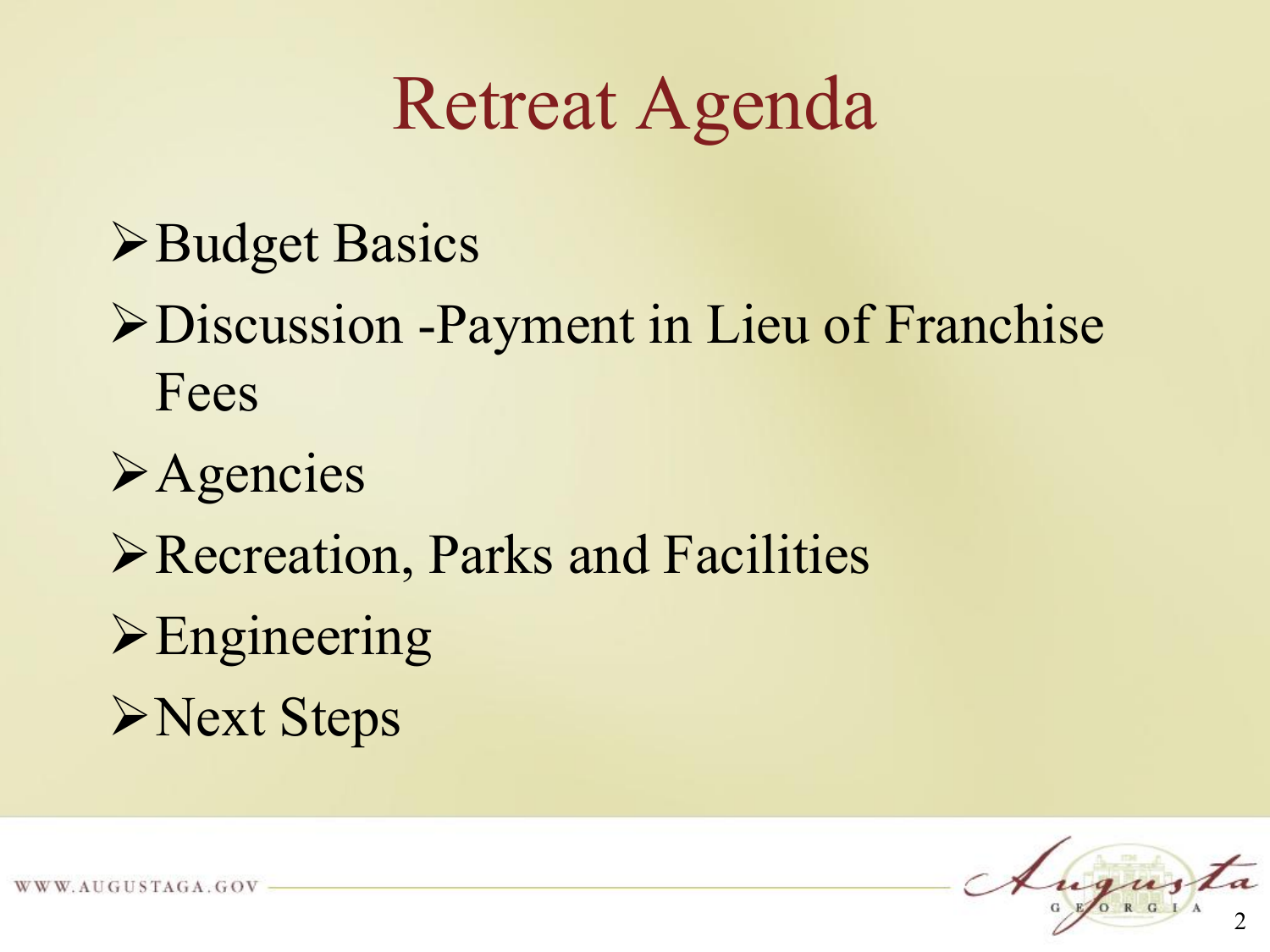#### Retreat Agenda

#### **>Budget Basics**

- Discussion -Payment in Lieu of Franchise Fees
- **Example 1**
- Recreation, Parks and Facilities
- **Engineering**
- **>Next Steps**

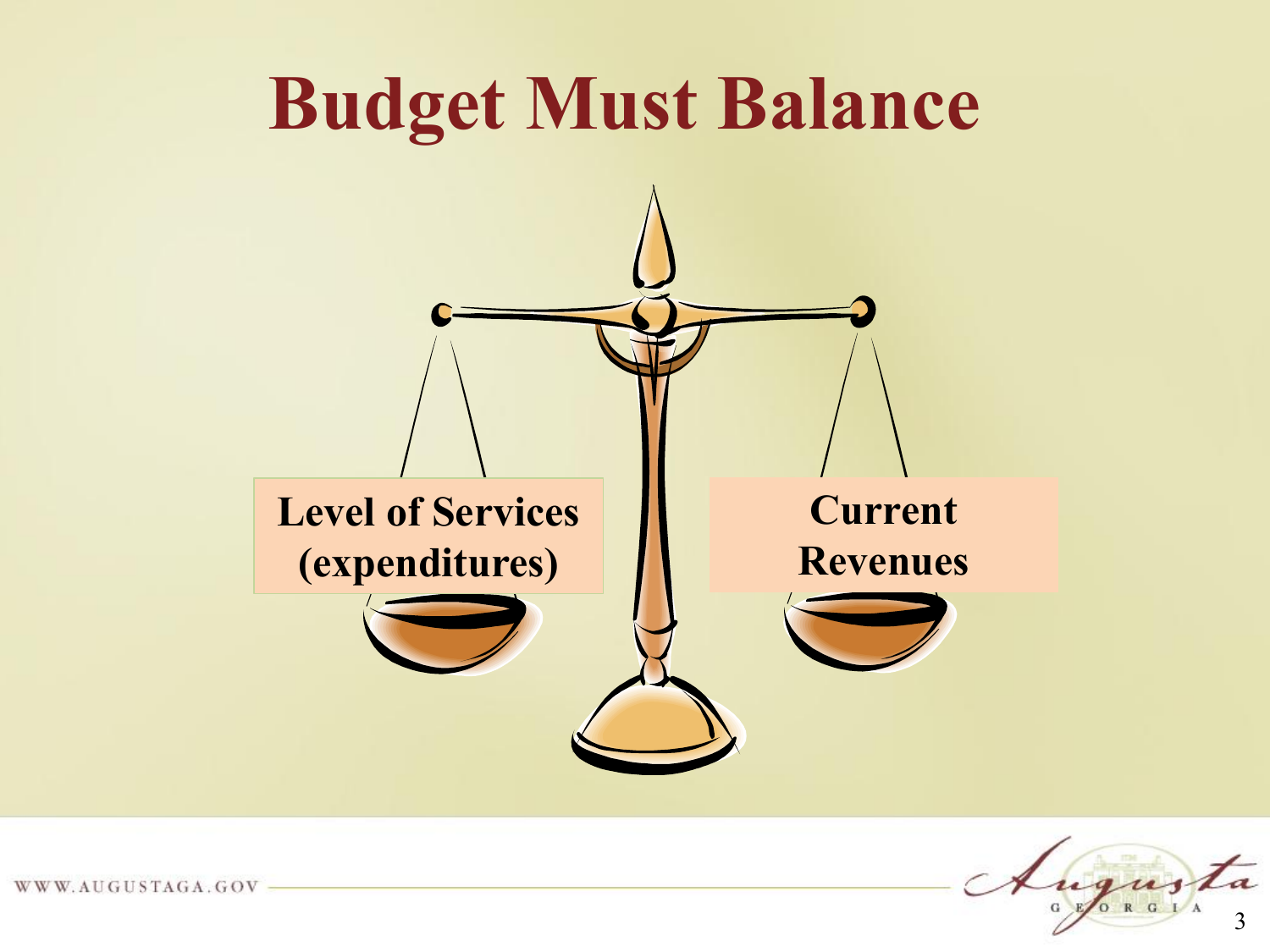

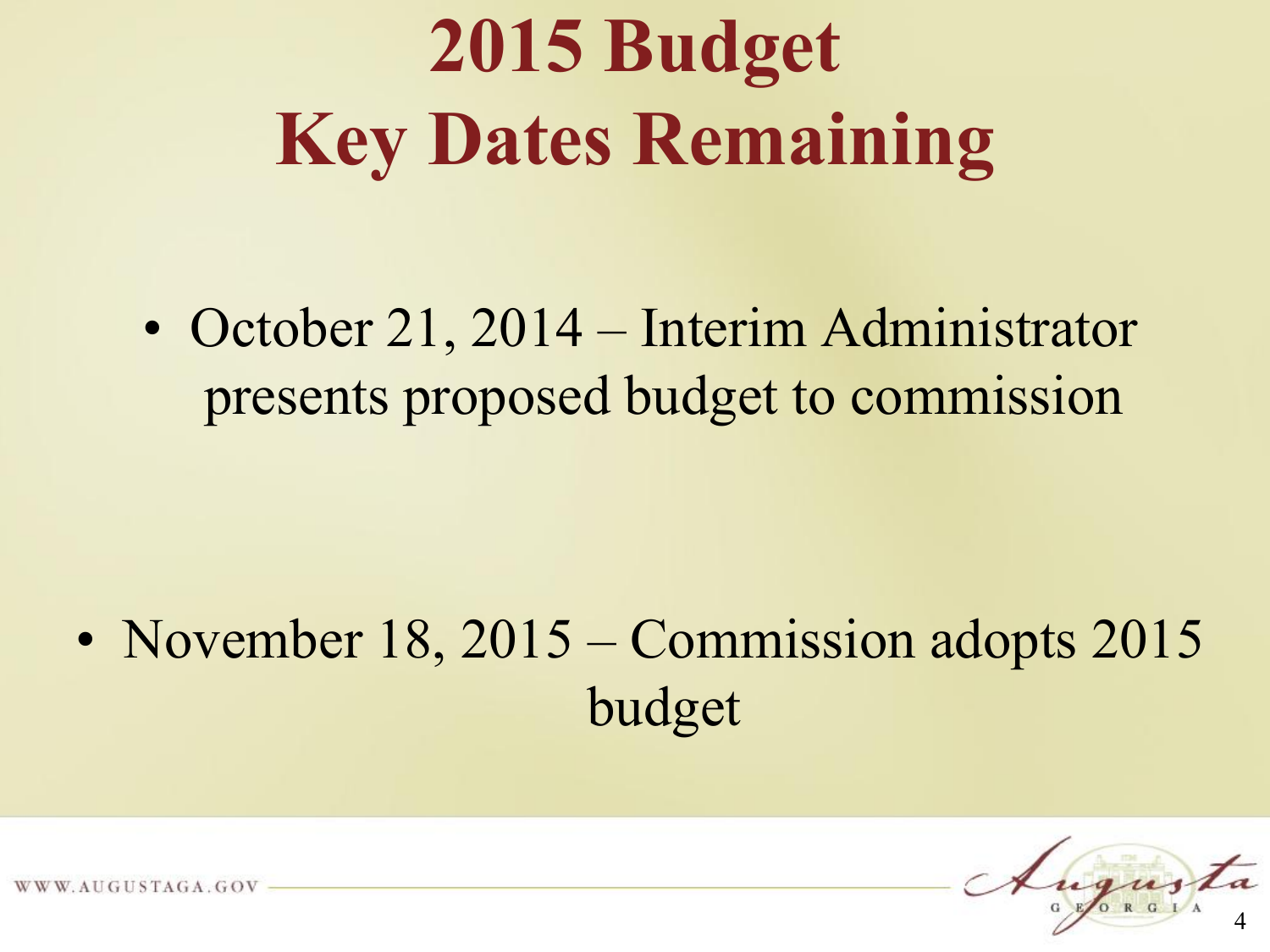## **2015 Budget Key Dates Remaining**

• October 21, 2014 – Interim Administrator presents proposed budget to commission

#### • November 18, 2015 – Commission adopts 2015 budget



AUGUSTAGA.GOV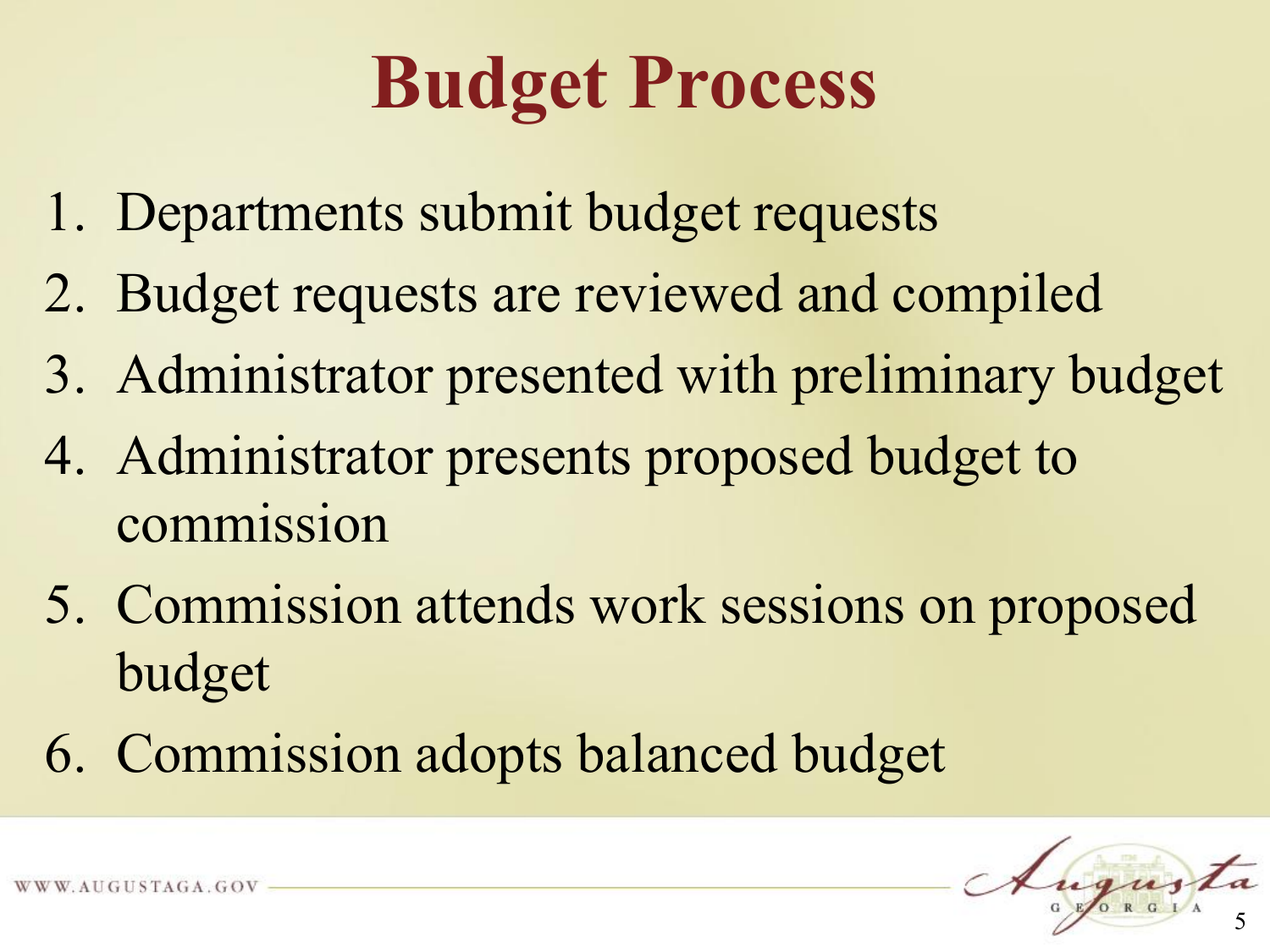## **Budget Process**

- 1. Departments submit budget requests
- 2. Budget requests are reviewed and compiled
- 3. Administrator presented with preliminary budget
- 4. Administrator presents proposed budget to commission
- 5. Commission attends work sessions on proposed budget
- 6. Commission adopts balanced budget

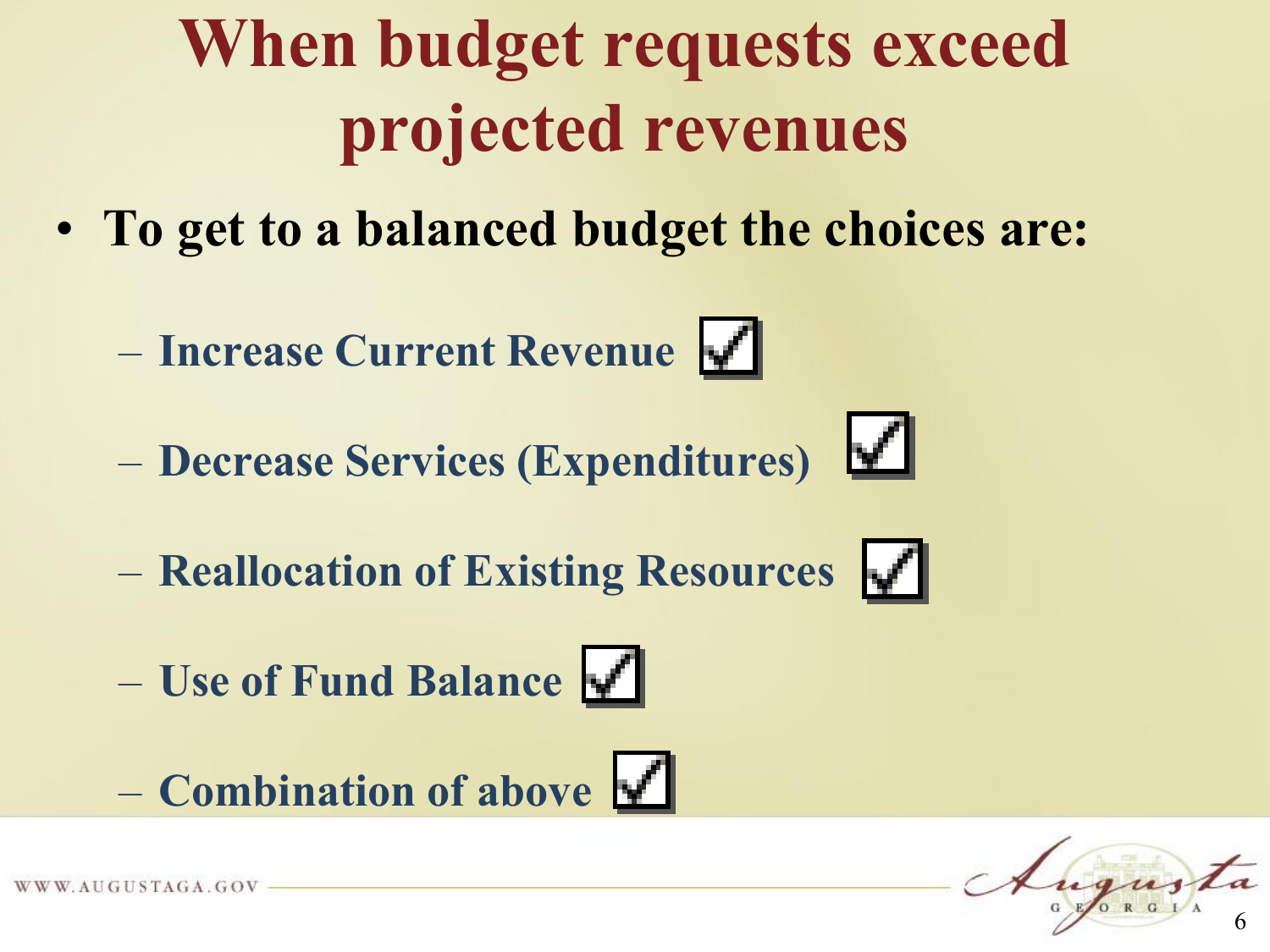#### **When budget requests exceed projected revenues**

- **To get to a balanced budget the choices are:**
	- **Increase Current Revenue**
	- **Decrease Services (Expenditures)**
	- **Reallocation of Existing Resources**
	- **Use of Fund Balance**





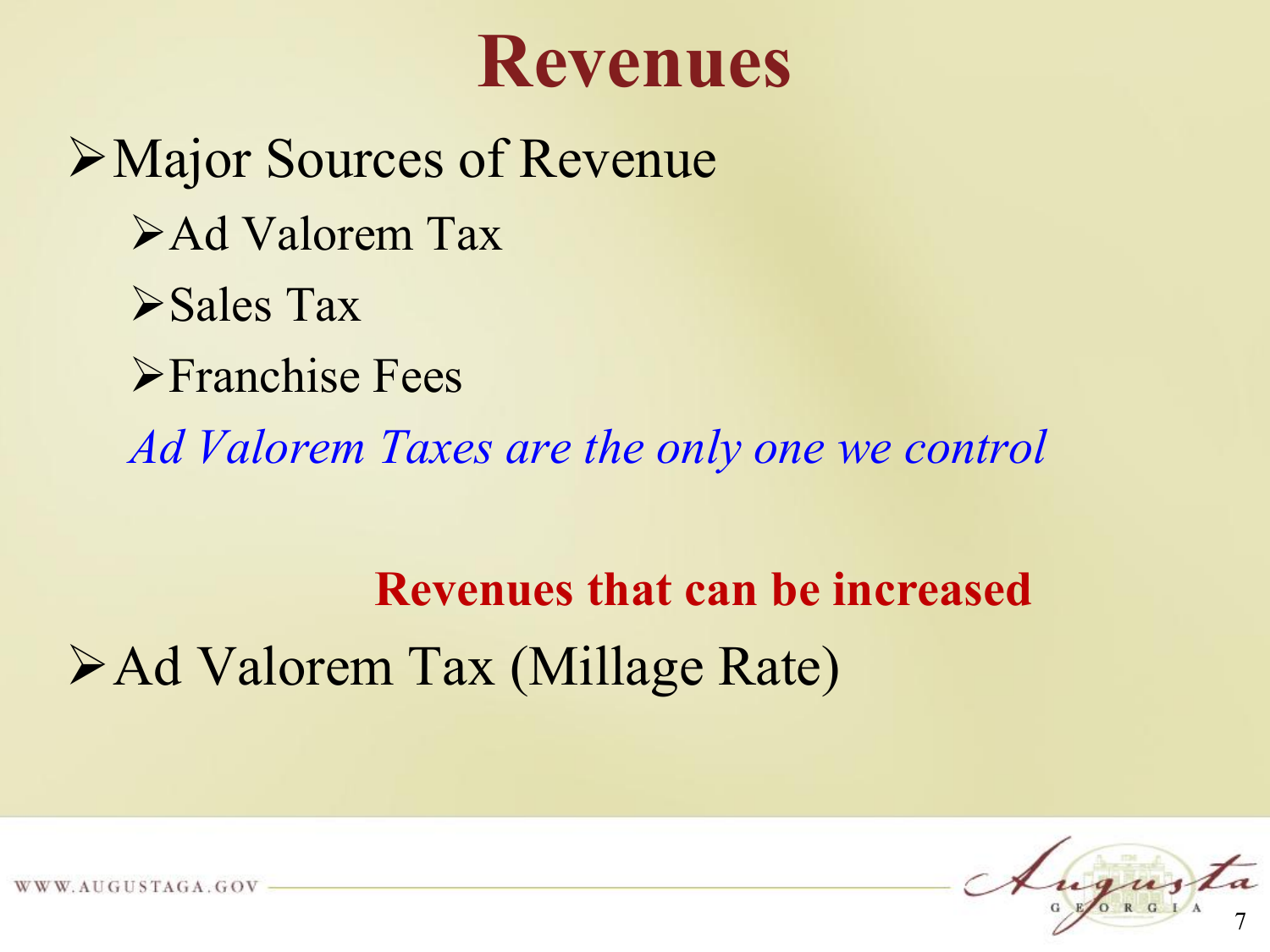#### **Revenues**

Major Sources of Revenue Ad Valorem Tax Sales Tax **Franchise Fees** *Ad Valorem Taxes are the only one we control*

**Revenues that can be increased** Ad Valorem Tax (Millage Rate)



AUGUSTAGA.GOV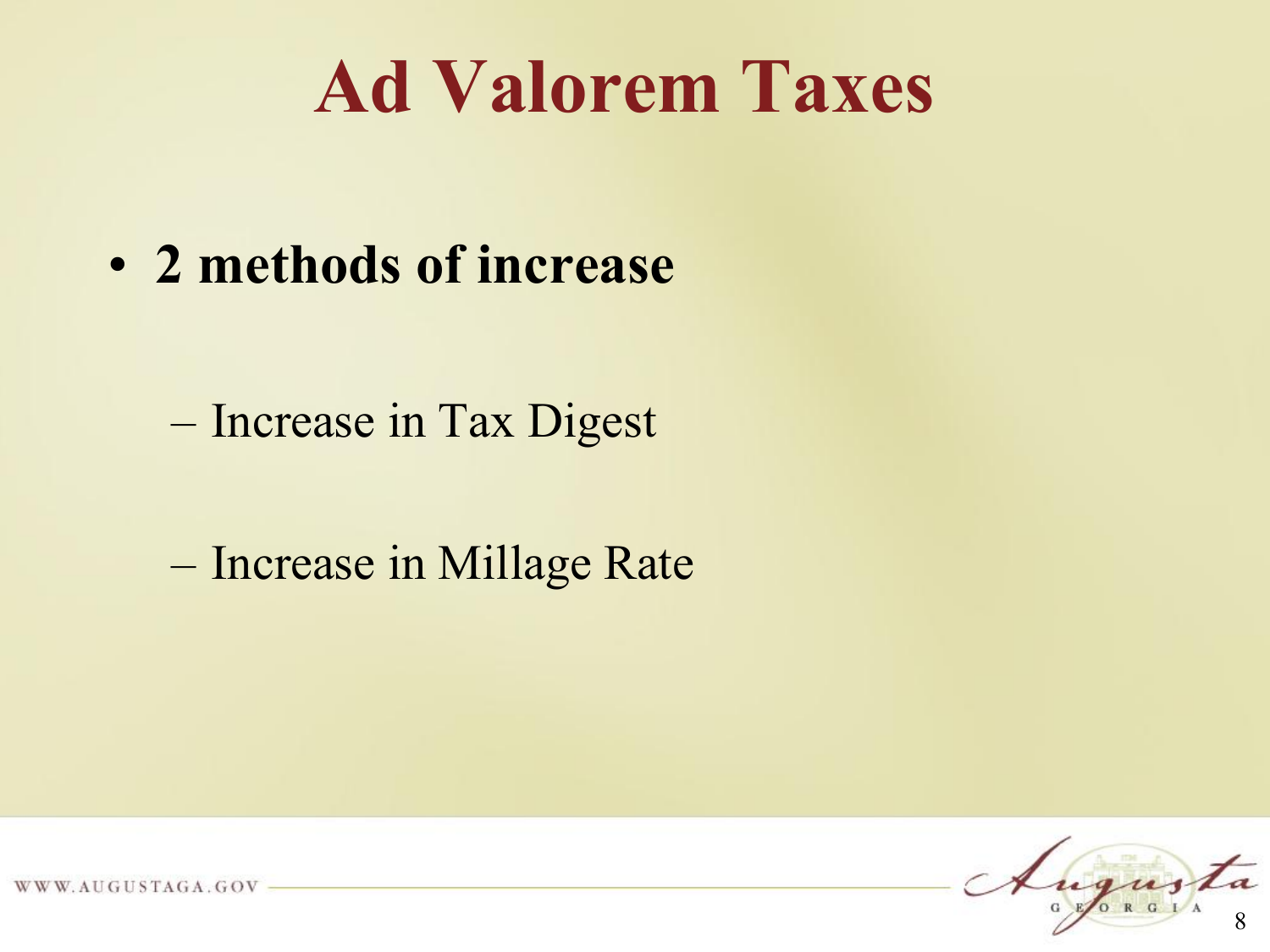## **Ad Valorem Taxes**

• **2 methods of increase**

– Increase in Tax Digest

– Increase in Millage Rate

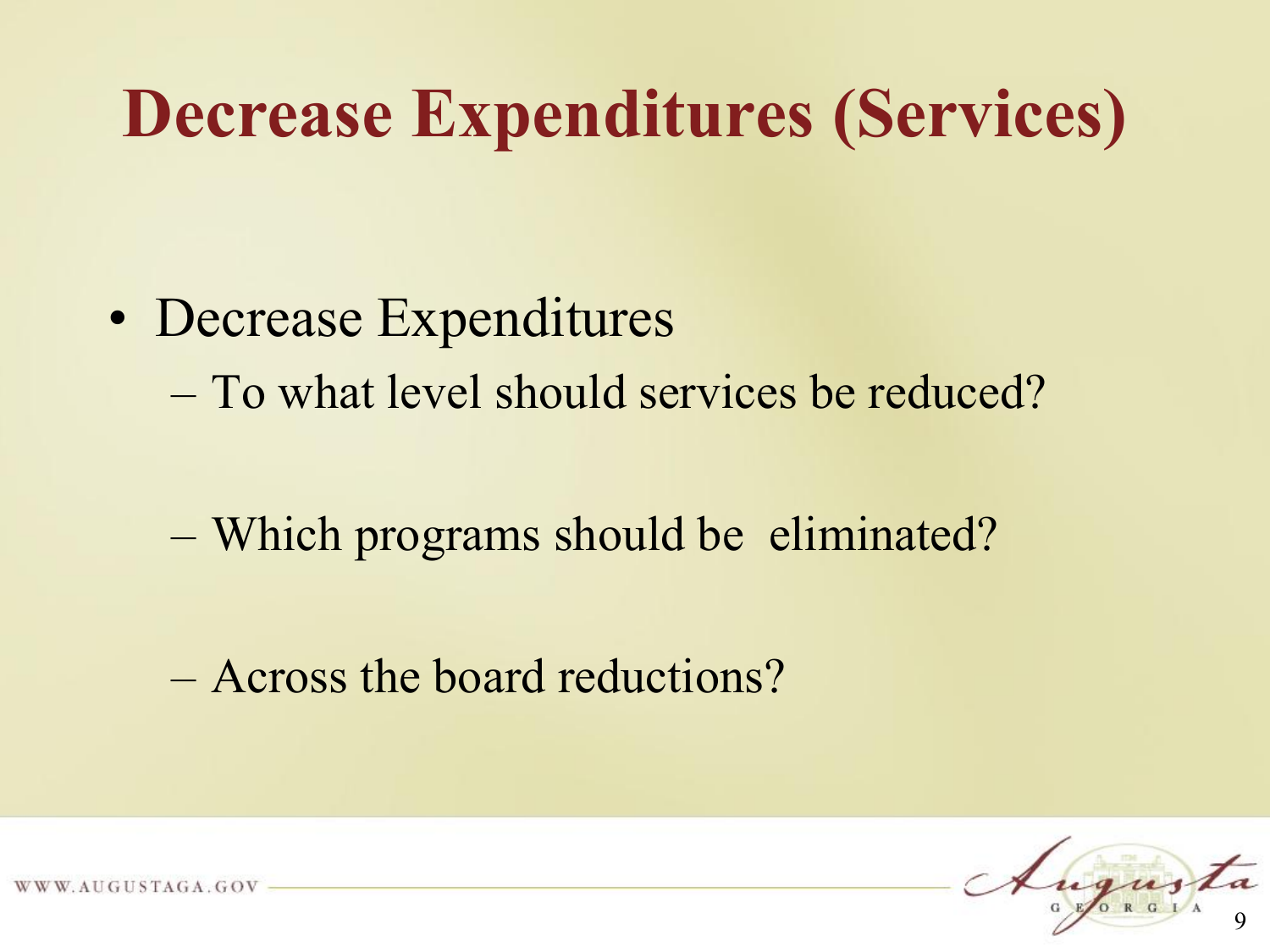#### **Decrease Expenditures (Services)**

- Decrease Expenditures
	- To what level should services be reduced?
	- Which programs should be eliminated?
	- Across the board reductions?



UGUSTAGA.GOV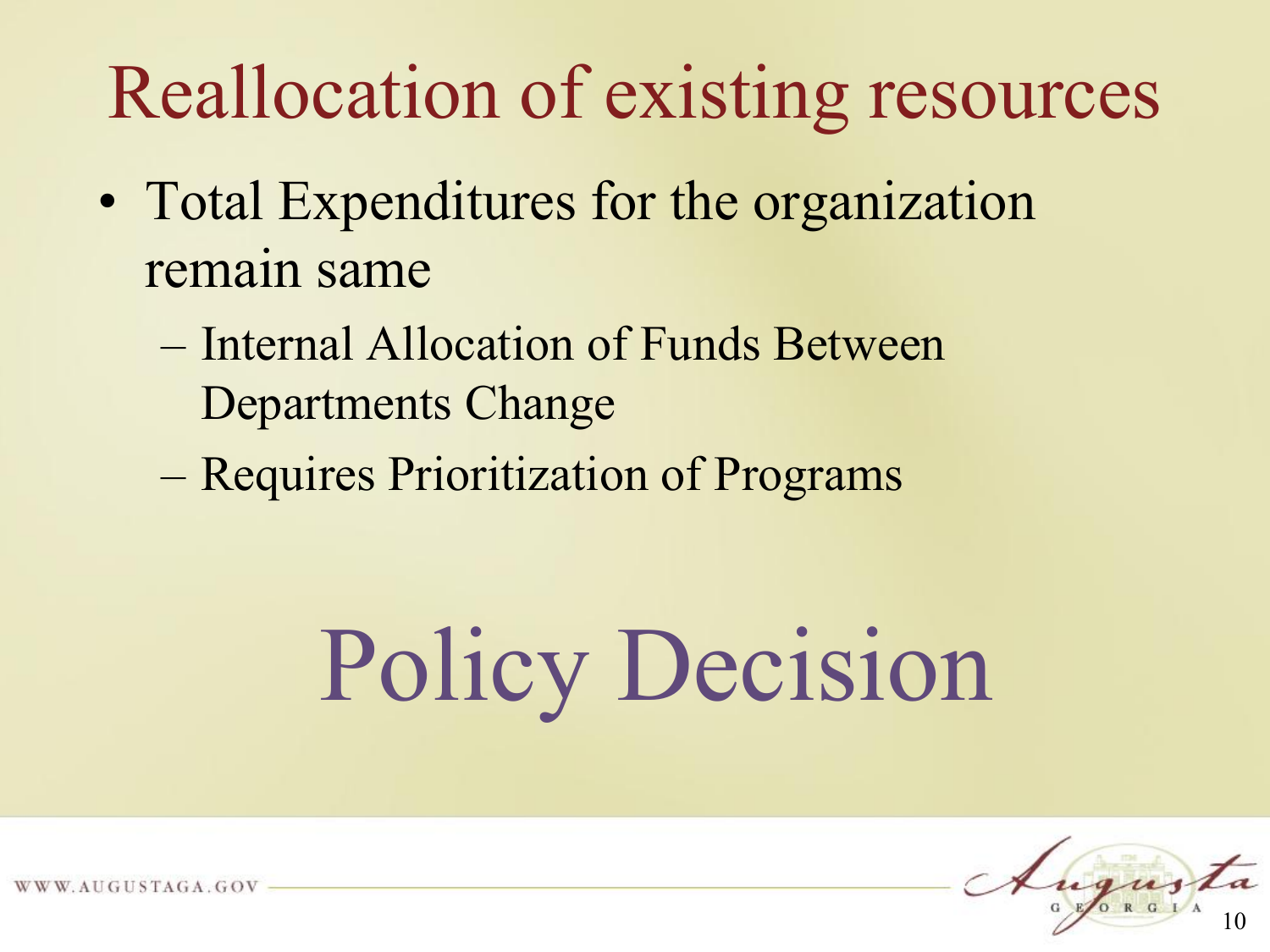## Reallocation of existing resources

- Total Expenditures for the organization remain same
	- Internal Allocation of Funds Between Departments Change
	- Requires Prioritization of Programs

## Policy Decision



AUGUSTAGA.GOV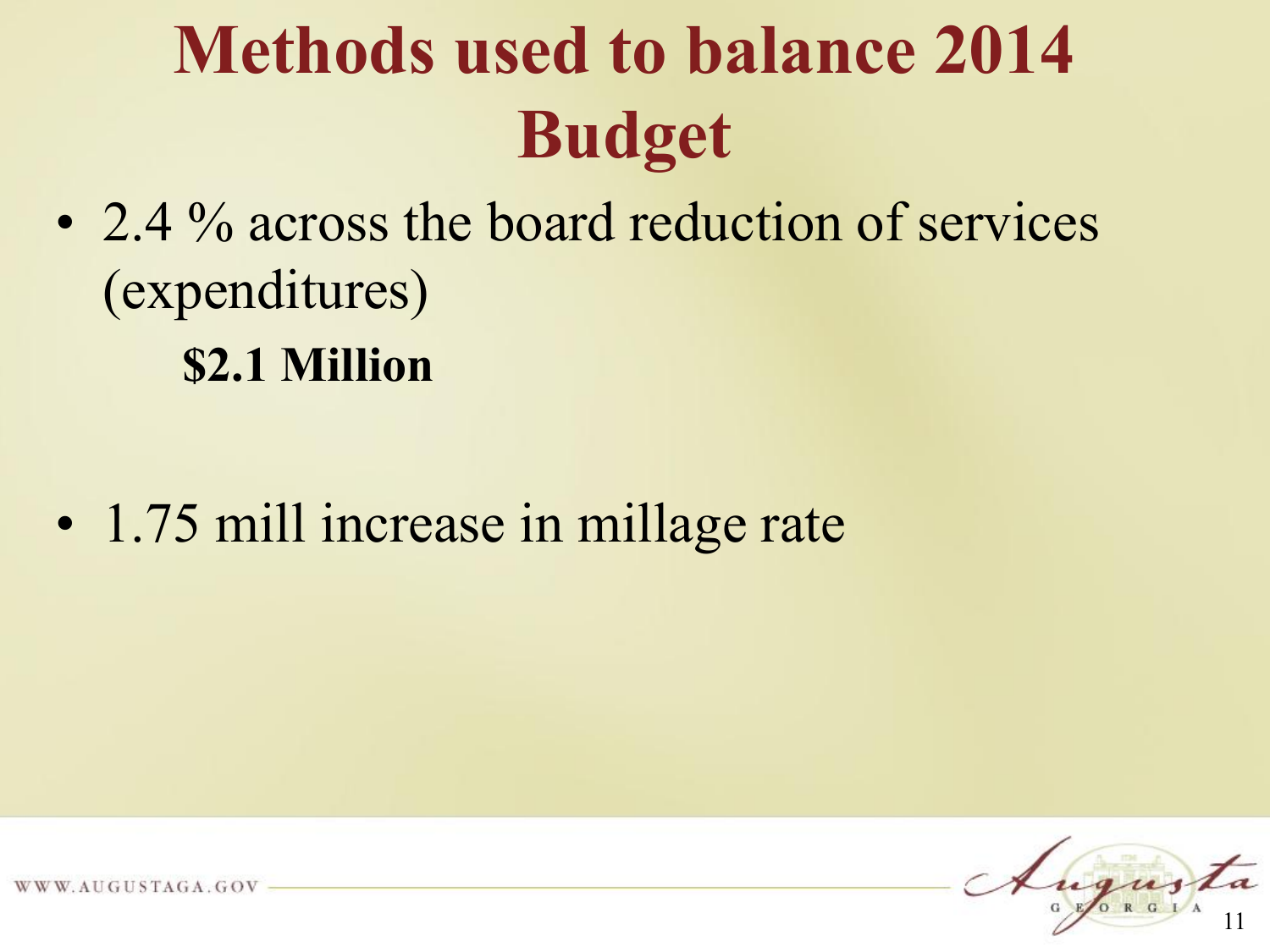## **Methods used to balance 2014 Budget**

• 2.4 % across the board reduction of services (expenditures)

**\$2.1 Million**

• 1.75 mill increase in millage rate



AUGUSTAGA.GOV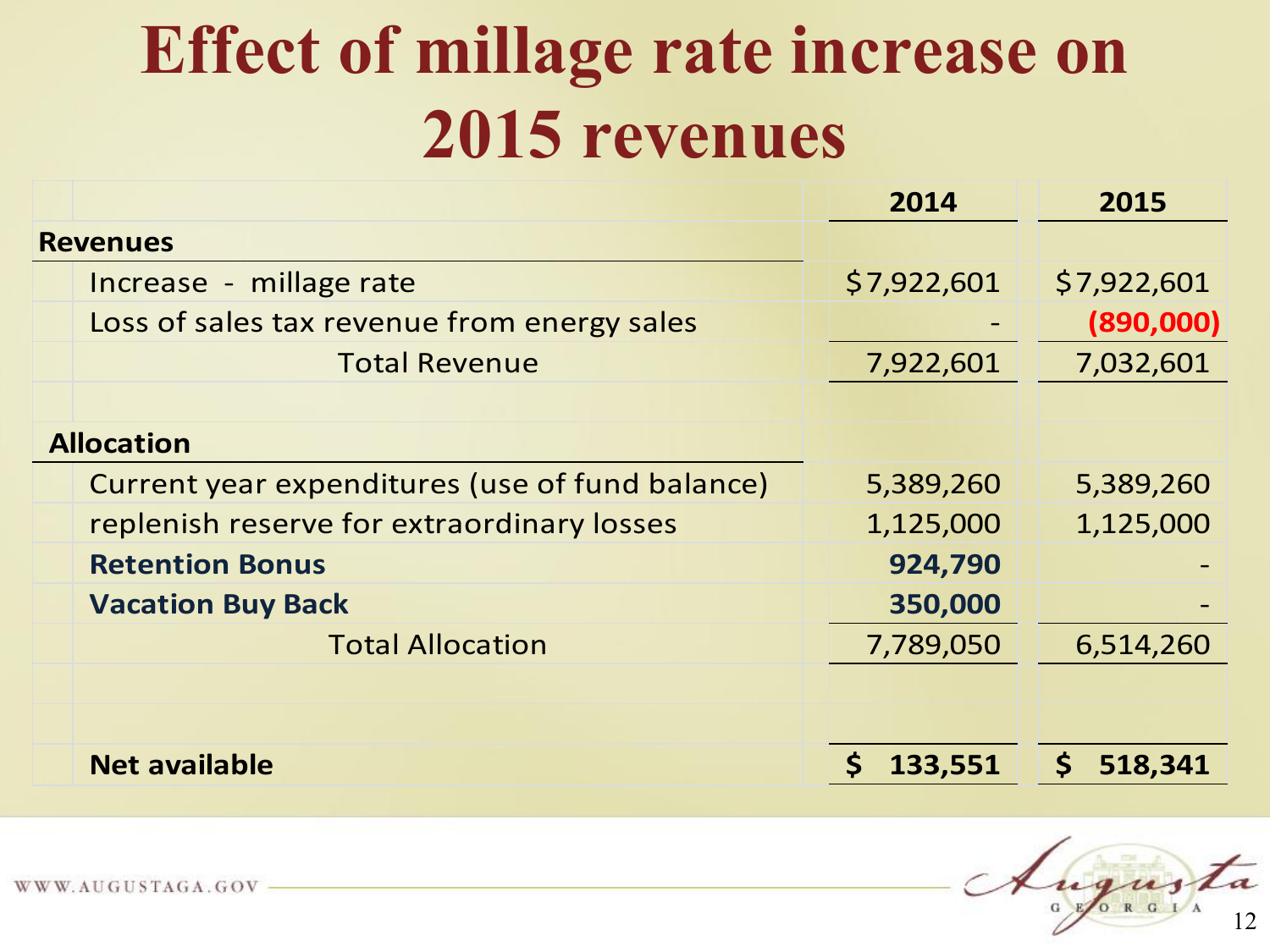#### **Effect of millage rate increase on 2015 revenues**

|                                                 | 2014        | 2015          |
|-------------------------------------------------|-------------|---------------|
| <b>Revenues</b>                                 |             |               |
| Increase - millage rate                         | \$7,922,601 | \$7,922,601   |
| Loss of sales tax revenue from energy sales     |             | (890,000)     |
| <b>Total Revenue</b>                            | 7,922,601   | 7,032,601     |
|                                                 |             |               |
| <b>Allocation</b>                               |             |               |
| Current year expenditures (use of fund balance) | 5,389,260   | 5,389,260     |
| replenish reserve for extraordinary losses      | 1,125,000   | 1,125,000     |
| <b>Retention Bonus</b>                          | 924,790     |               |
| <b>Vacation Buy Back</b>                        | 350,000     |               |
| <b>Total Allocation</b>                         | 7,789,050   | 6,514,260     |
|                                                 |             |               |
|                                                 |             |               |
| <b>Net available</b>                            | 133,551     | 518,341<br>S. |

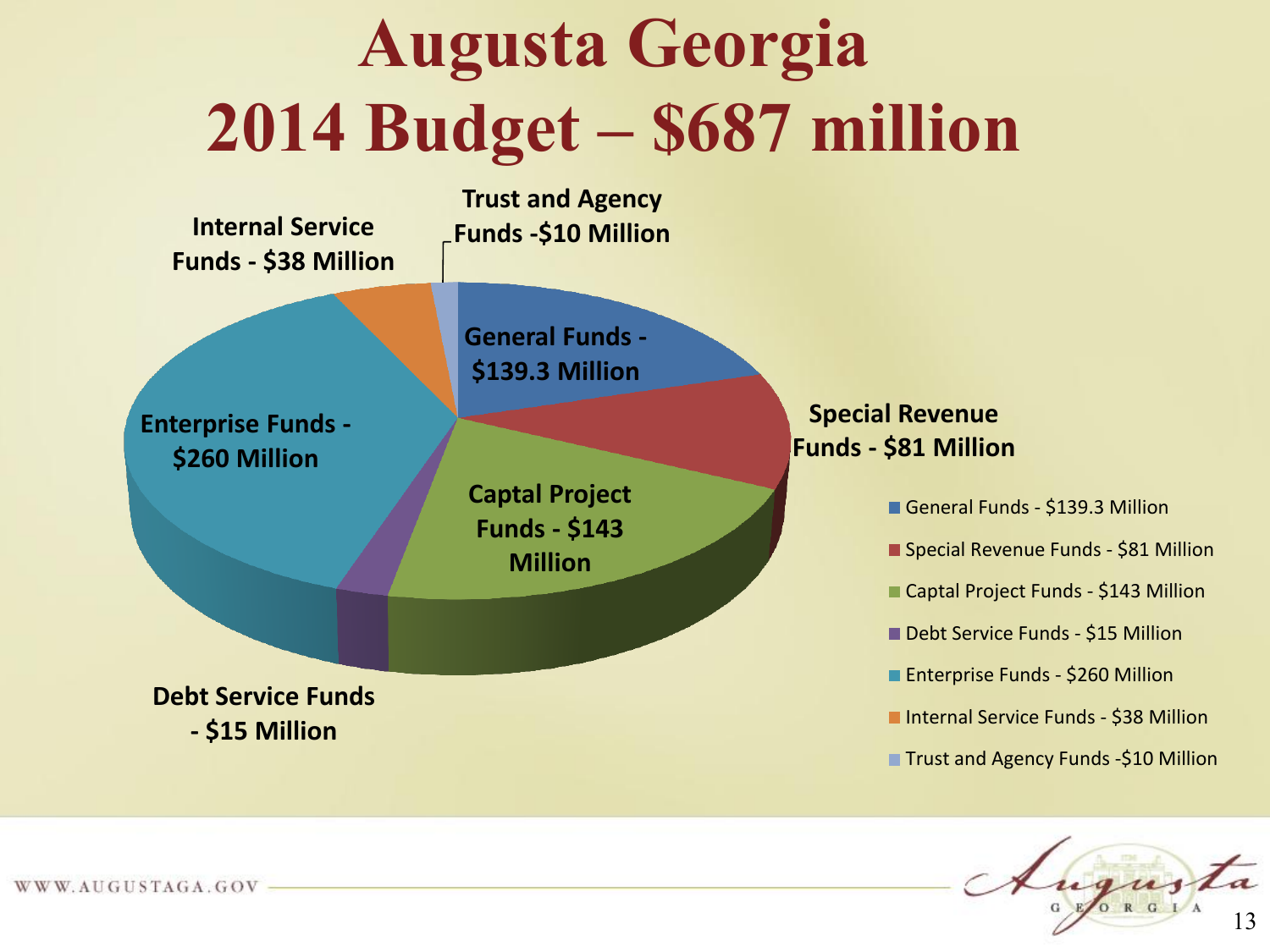#### **Augusta Georgia 2014 Budget – \$687 million**

**Internal Service Funds - \$38 Million**

**Trust and Agency Funds -\$10 Million**

**General Funds -**

**\$139.3 Million**

**Enterprise Funds - \$260 Million**

> **Captal Project Funds - \$143 Million**

**Debt Service Funds - \$15 Million**

**Special Revenue Funds - \$81 Million**

General Funds - \$139.3 Million

**Special Revenue Funds - \$81 Million** 

■ Captal Project Funds - \$143 Million

**Debt Service Funds - \$15 Million** 

**Enterprise Funds - \$260 Million** 

■ Internal Service Funds - \$38 Million

**Trust and Agency Funds -\$10 Million** 

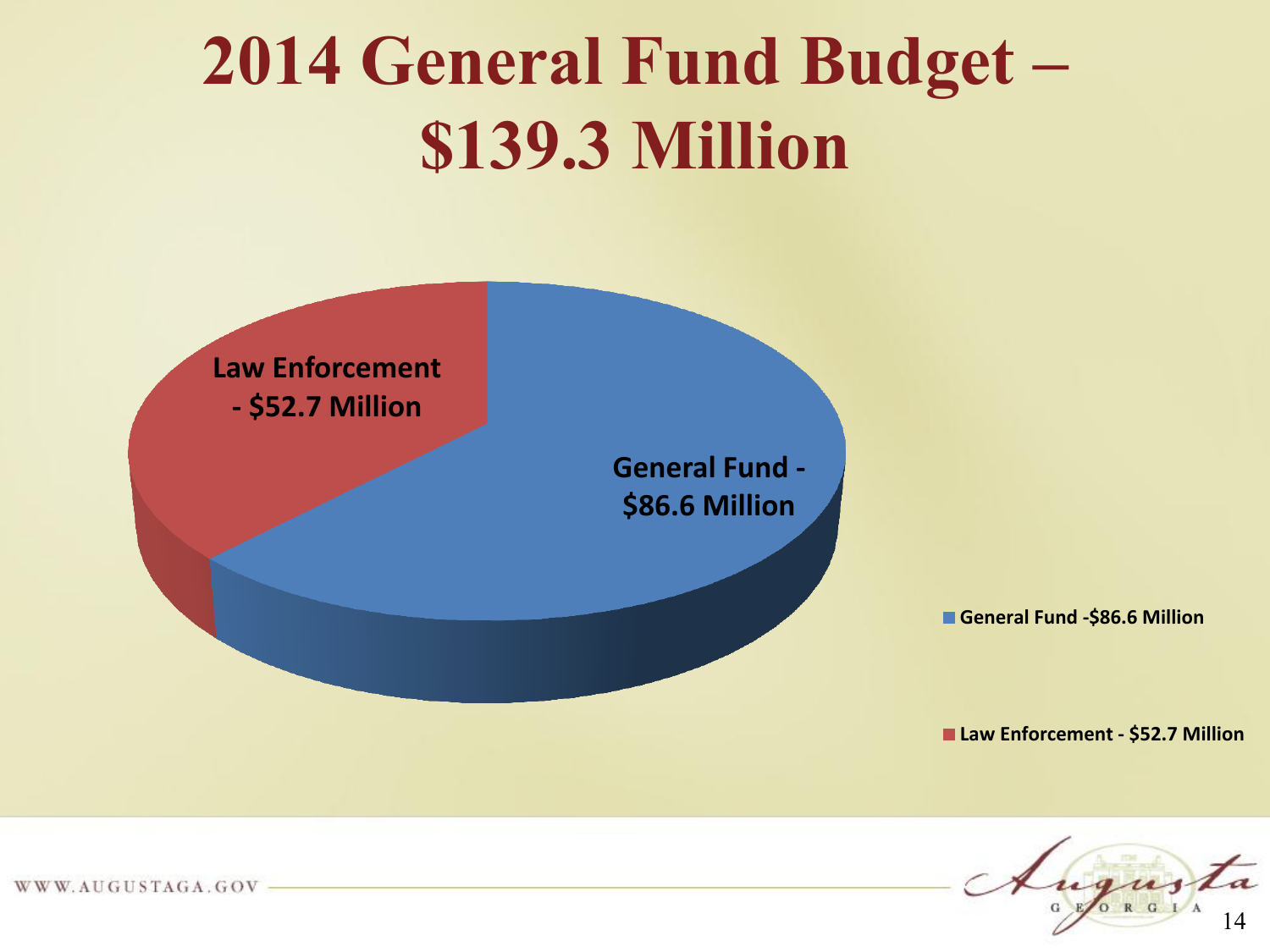#### **2014 General Fund Budget – \$139.3 Million**



14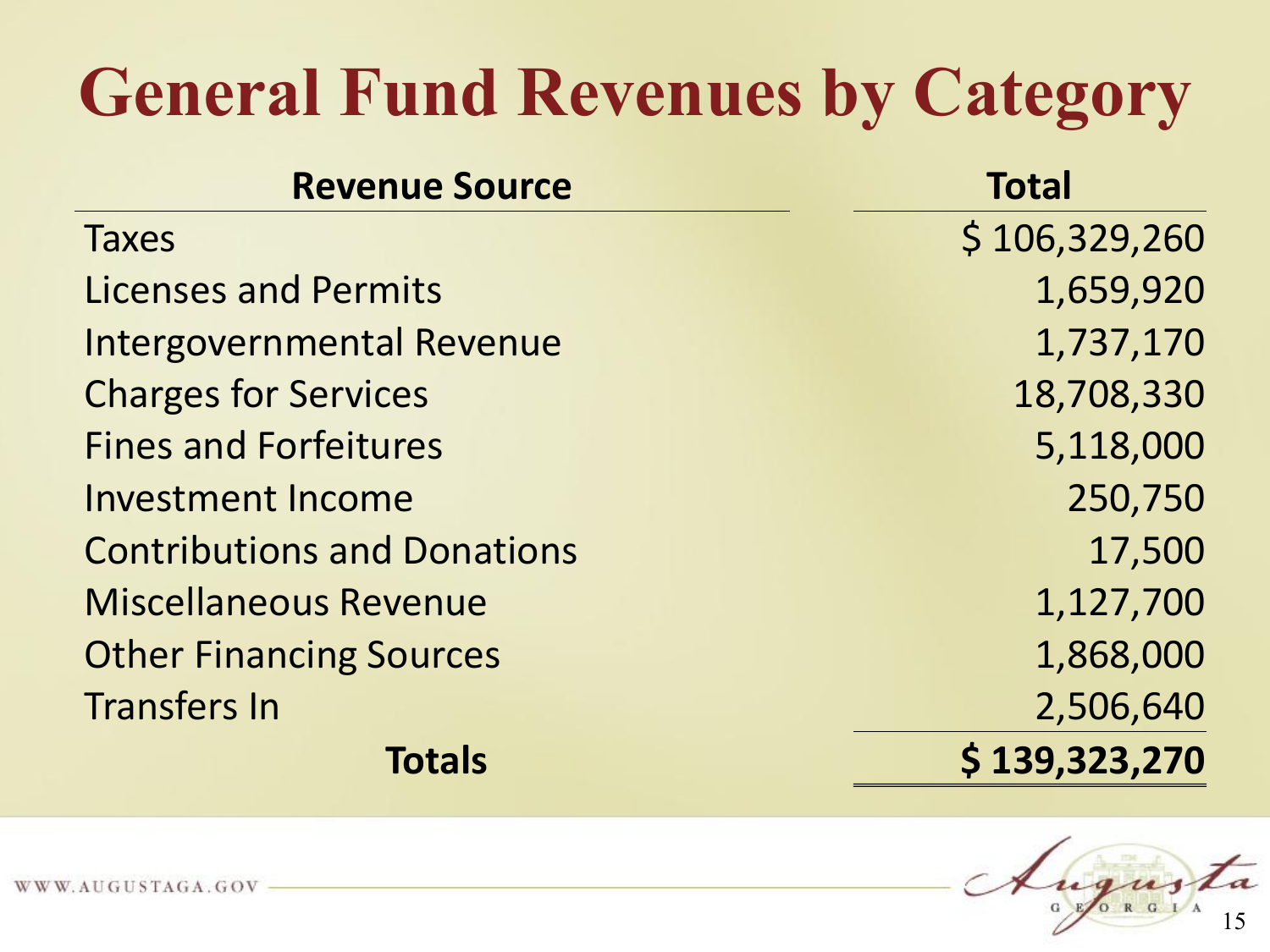#### **General Fund Revenues by Category**

| <b>Revenue Source</b>              | <b>Total</b>  |
|------------------------------------|---------------|
| <b>Taxes</b>                       | \$106,329,260 |
| <b>Licenses and Permits</b>        | 1,659,920     |
| <b>Intergovernmental Revenue</b>   | 1,737,170     |
| <b>Charges for Services</b>        | 18,708,330    |
| <b>Fines and Forfeitures</b>       | 5,118,000     |
| <b>Investment Income</b>           | 250,750       |
| <b>Contributions and Donations</b> | 17,500        |
| <b>Miscellaneous Revenue</b>       | 1,127,700     |
| <b>Other Financing Sources</b>     | 1,868,000     |
| <b>Transfers In</b>                | 2,506,640     |
| <b>Totals</b>                      | \$139,323,270 |

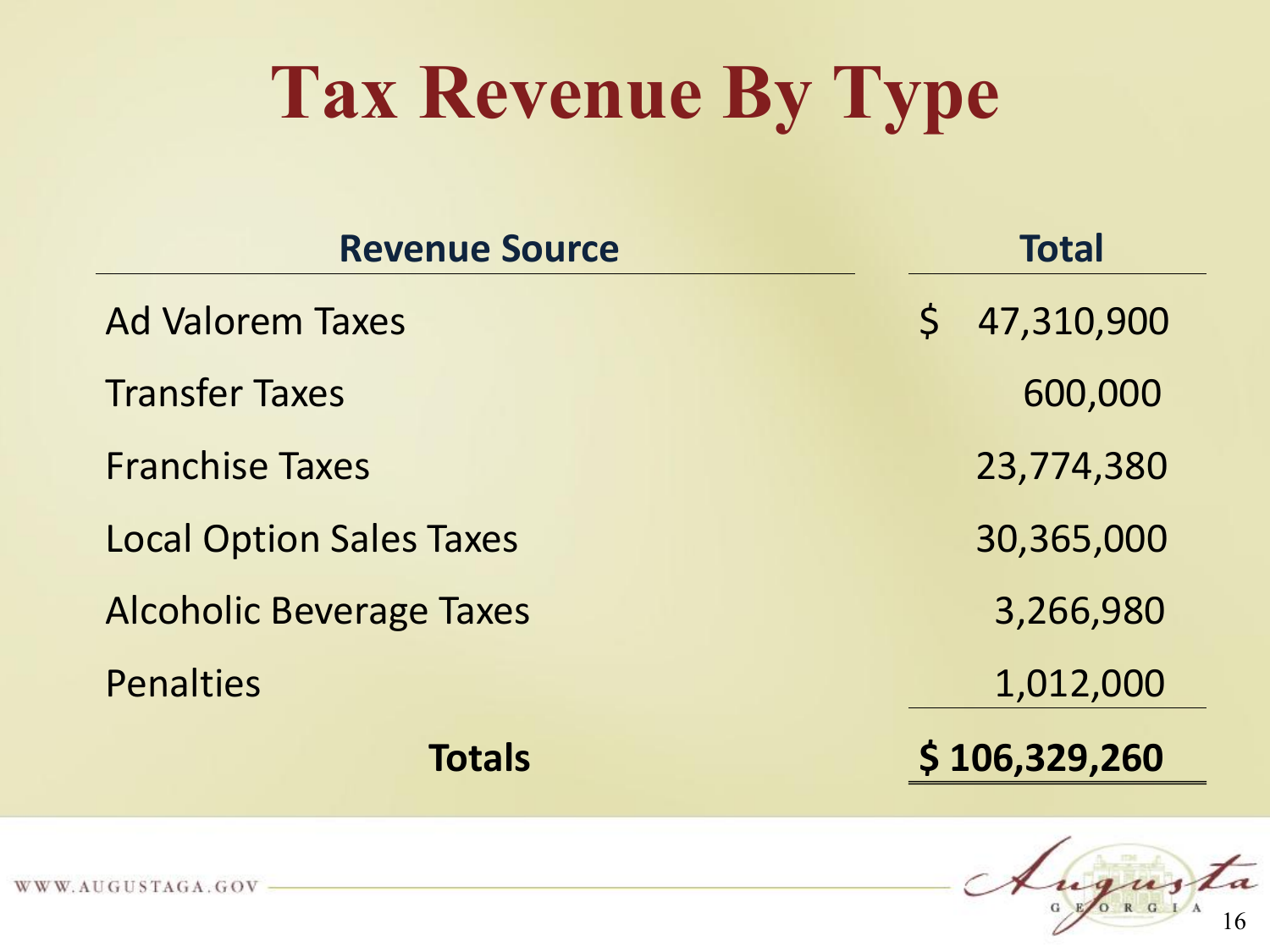## **Tax Revenue By Type**

| <b>Revenue Source</b>           | <b>Total</b>               |
|---------------------------------|----------------------------|
| <b>Ad Valorem Taxes</b>         | 47,310,900<br>$\mathsf{S}$ |
| <b>Transfer Taxes</b>           | 600,000                    |
| <b>Franchise Taxes</b>          | 23,774,380                 |
| <b>Local Option Sales Taxes</b> | 30,365,000                 |
| <b>Alcoholic Beverage Taxes</b> | 3,266,980                  |
| <b>Penalties</b>                | 1,012,000                  |
| <b>Totals</b>                   | \$106,329,260              |

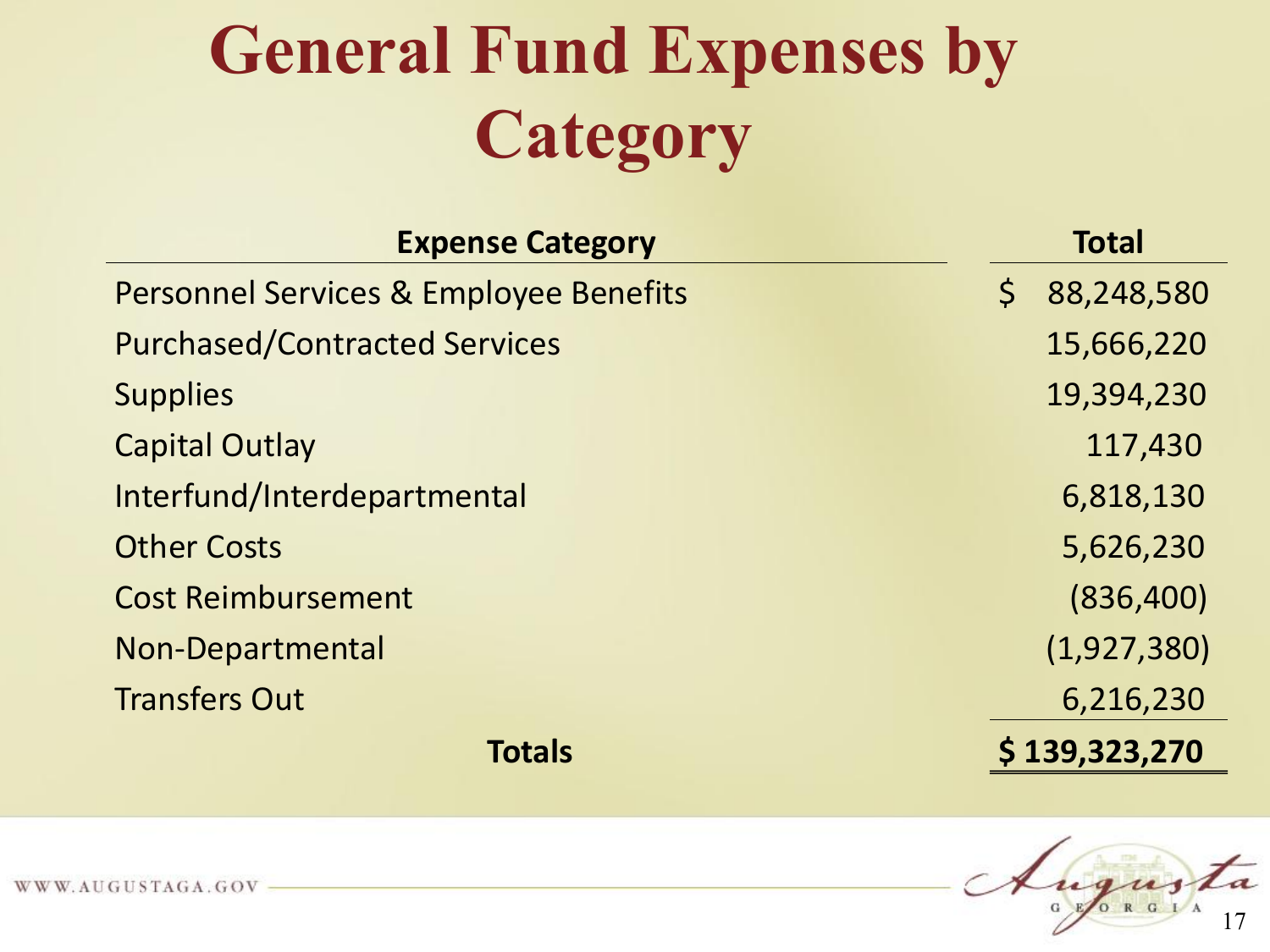## **General Fund Expenses by Category**

| <b>Expense Category</b>                           |             | <b>Total</b>  |
|---------------------------------------------------|-------------|---------------|
| <b>Personnel Services &amp; Employee Benefits</b> | $\varsigma$ | 88,248,580    |
| <b>Purchased/Contracted Services</b>              |             | 15,666,220    |
| <b>Supplies</b>                                   |             | 19,394,230    |
| <b>Capital Outlay</b>                             |             | 117,430       |
| Interfund/Interdepartmental                       |             | 6,818,130     |
| <b>Other Costs</b>                                |             | 5,626,230     |
| <b>Cost Reimbursement</b>                         |             | (836,400)     |
| Non-Departmental                                  |             | (1,927,380)   |
| <b>Transfers Out</b>                              |             | 6,216,230     |
| <b>Totals</b>                                     |             | \$139,323,270 |

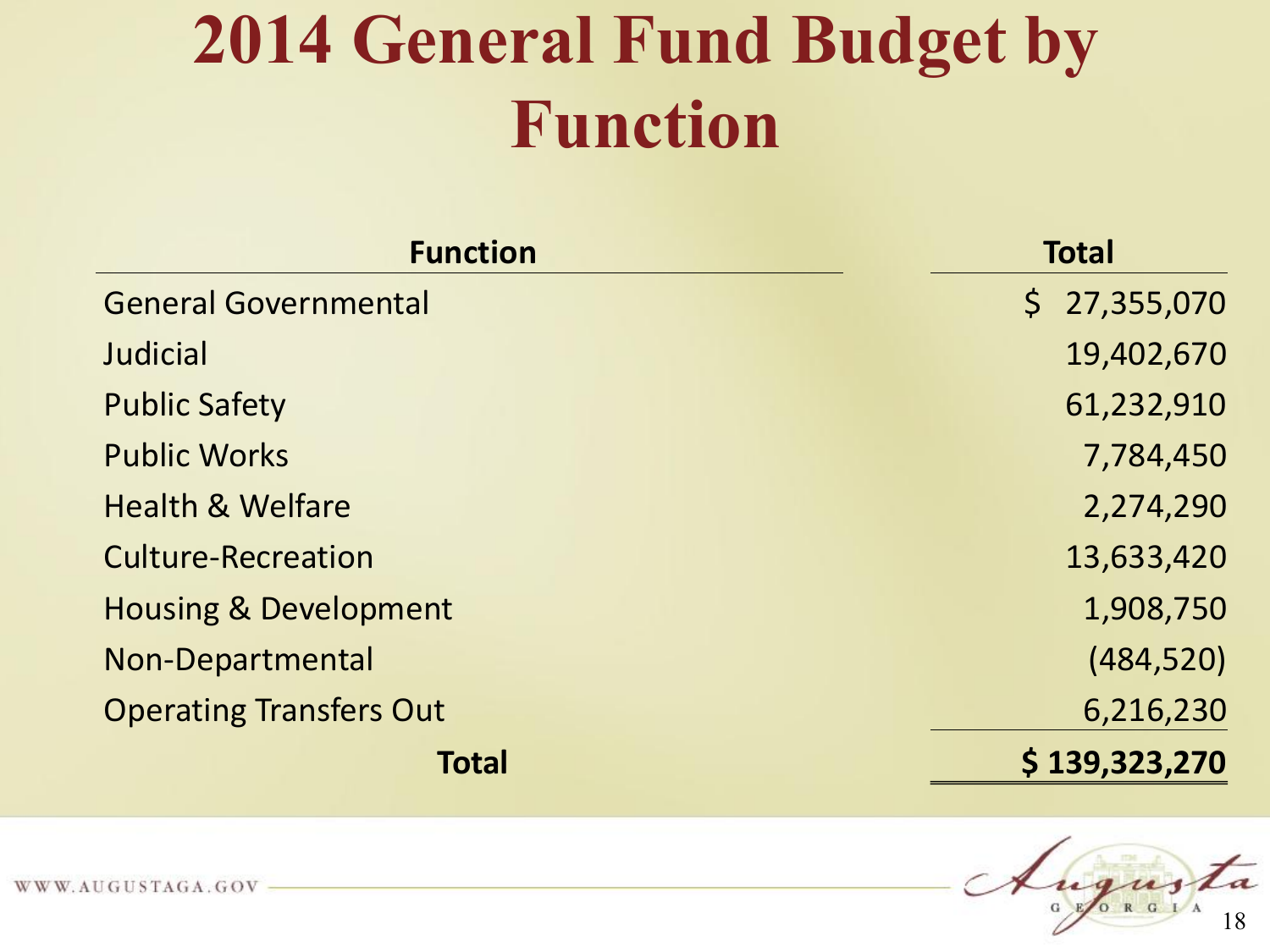#### **2014 General Fund Budget by Function**

| <b>Function</b>                  | <b>Total</b>  |
|----------------------------------|---------------|
| <b>General Governmental</b>      | \$27,355,070  |
| Judicial                         | 19,402,670    |
| <b>Public Safety</b>             | 61,232,910    |
| <b>Public Works</b>              | 7,784,450     |
| <b>Health &amp; Welfare</b>      | 2,274,290     |
| <b>Culture-Recreation</b>        | 13,633,420    |
| <b>Housing &amp; Development</b> | 1,908,750     |
| Non-Departmental                 | (484, 520)    |
| <b>Operating Transfers Out</b>   | 6,216,230     |
| <b>Total</b>                     | \$139,323,270 |

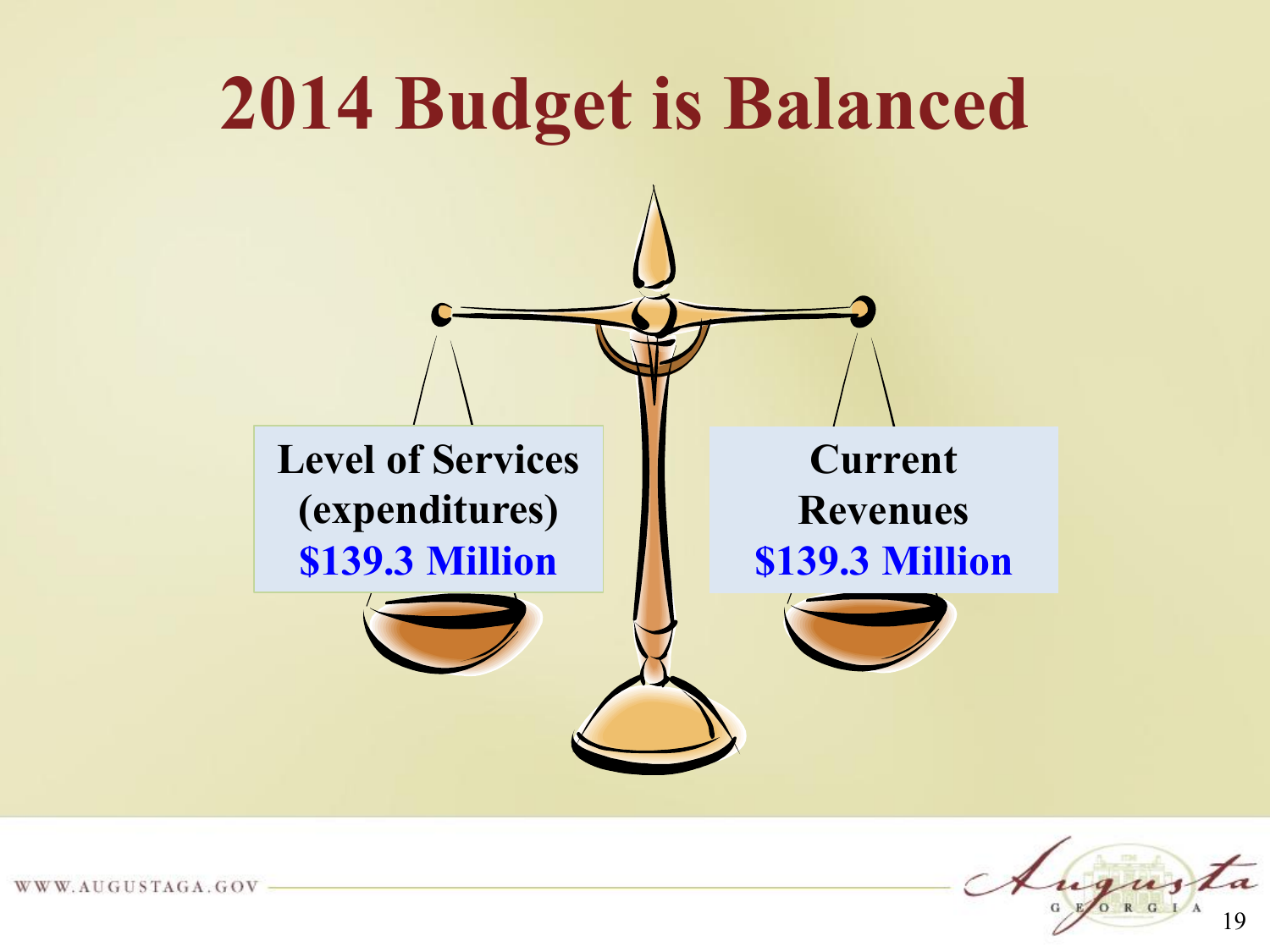

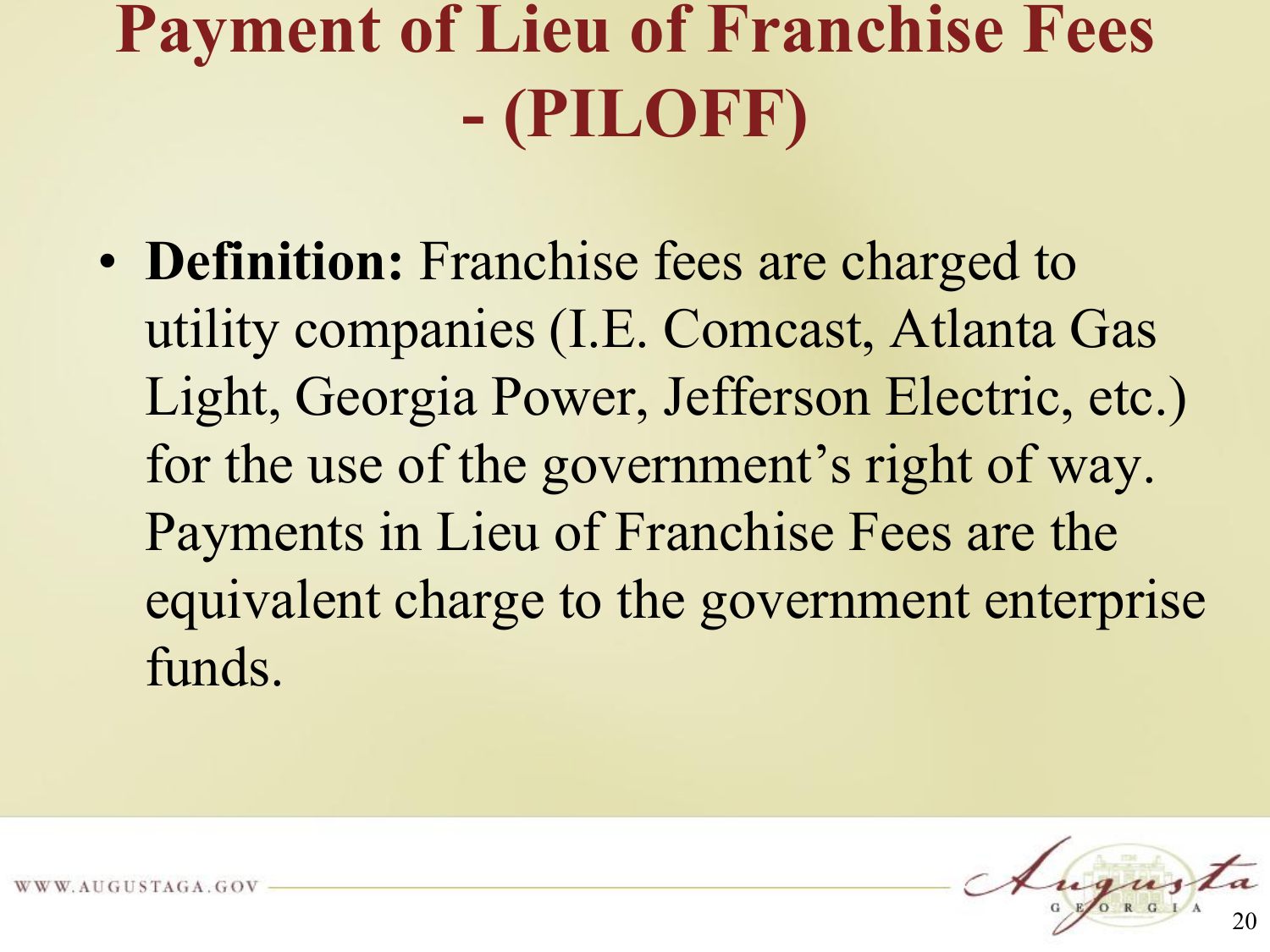#### **Payment of Lieu of Franchise Fees - (PILOFF)**

• **Definition:** Franchise fees are charged to utility companies (I.E. Comcast, Atlanta Gas Light, Georgia Power, Jefferson Electric, etc.) for the use of the government's right of way. Payments in Lieu of Franchise Fees are the equivalent charge to the government enterprise funds.

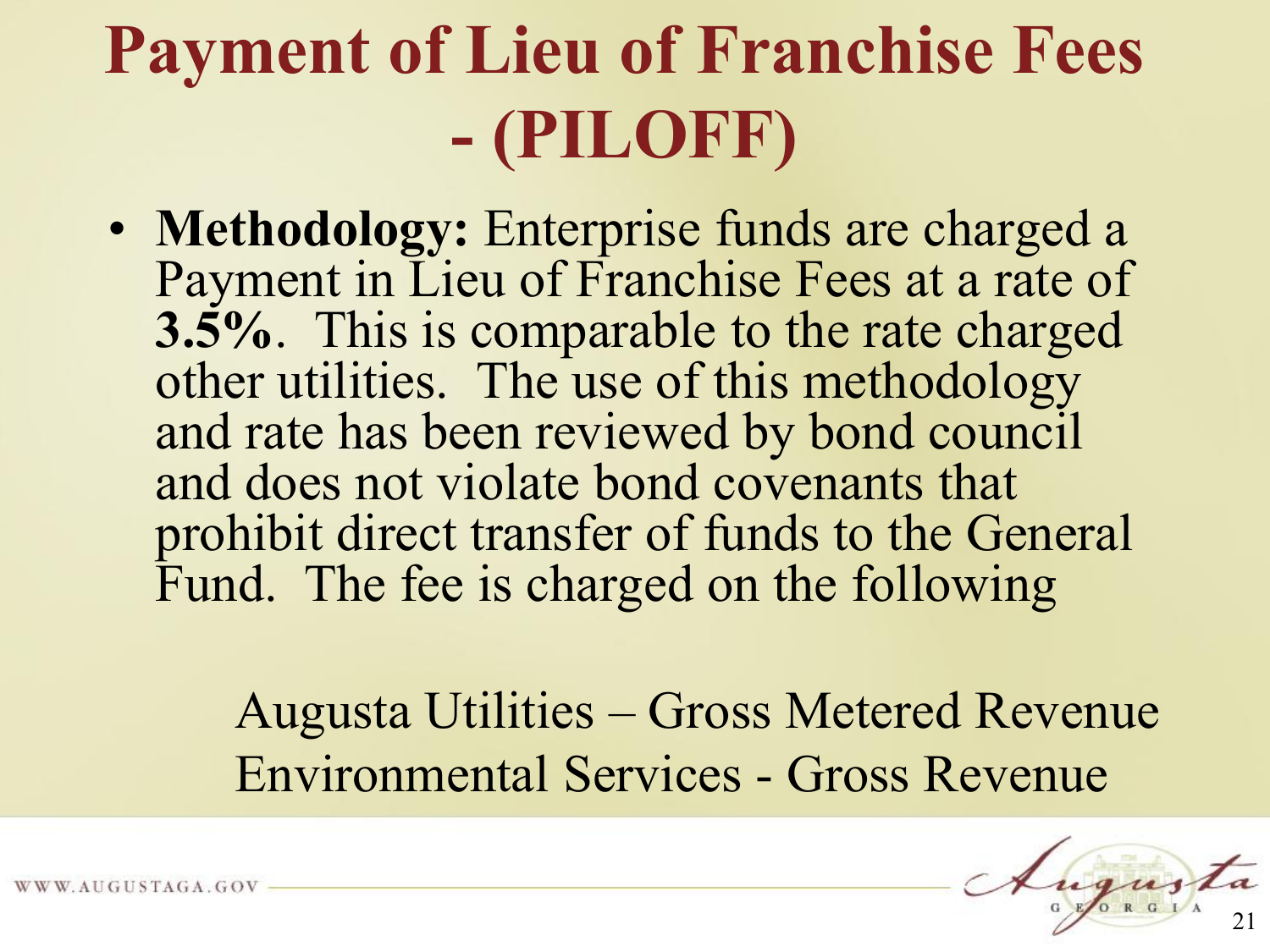#### **Payment of Lieu of Franchise Fees - (PILOFF)**

• **Methodology:** Enterprise funds are charged a Payment in Lieu of Franchise Fees at a rate of **3.5%**. This is comparable to the rate charged other utilities. The use of this methodology and rate has been reviewed by bond council and does not violate bond covenants that prohibit direct transfer of funds to the General Fund. The fee is charged on the following

> Augusta Utilities – Gross Metered Revenue Environmental Services - Gross Revenue

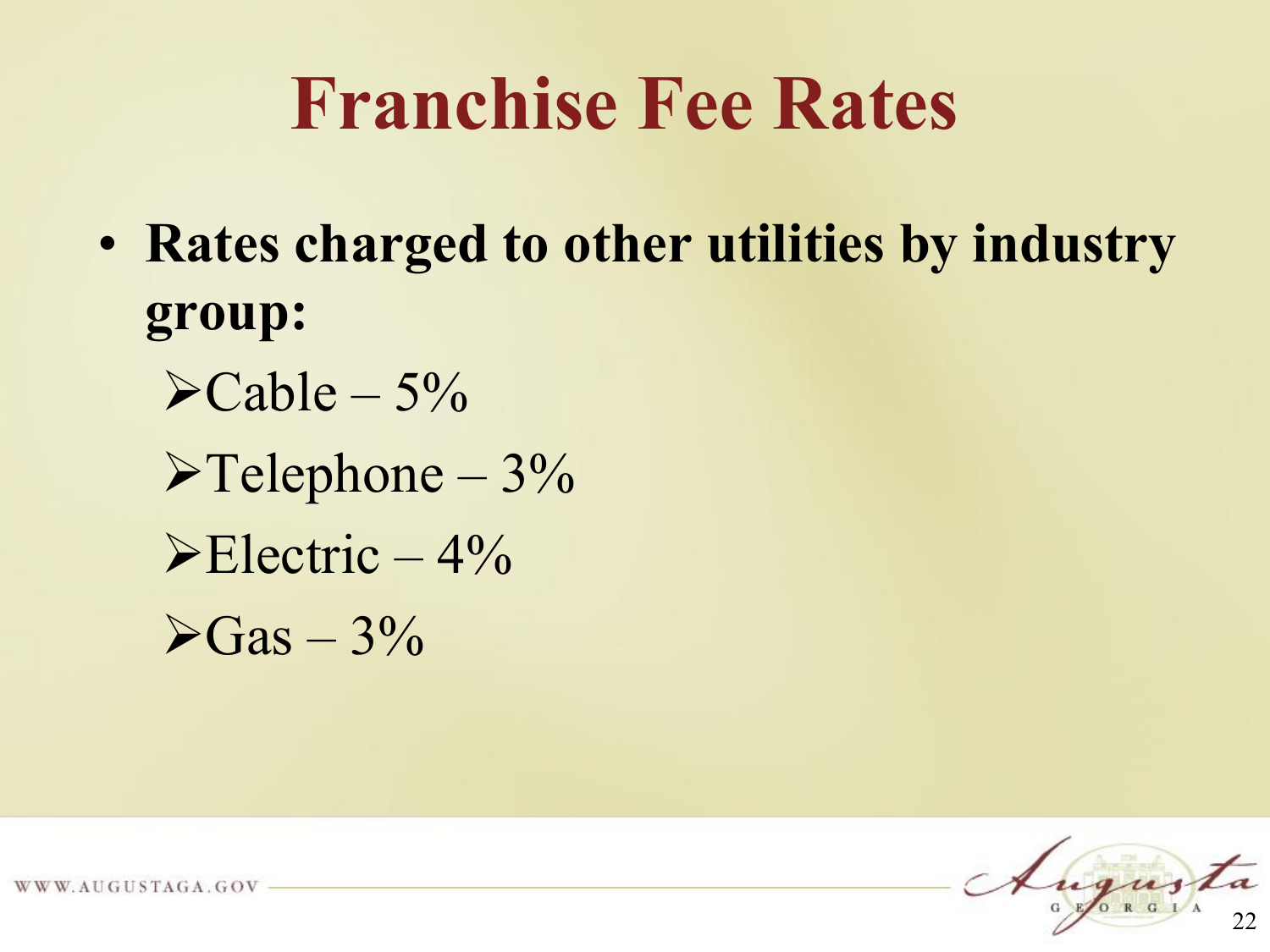#### **Franchise Fee Rates**

- **Rates charged to other utilities by industry group:** 
	- $\blacktriangleright$ Cable 5%  $\blacktriangleright$  Telephone – 3%  $\blacktriangleright$  Electric  $-4\%$  $\geq$ Gas – 3%



W. AUGUSTAGA. GOV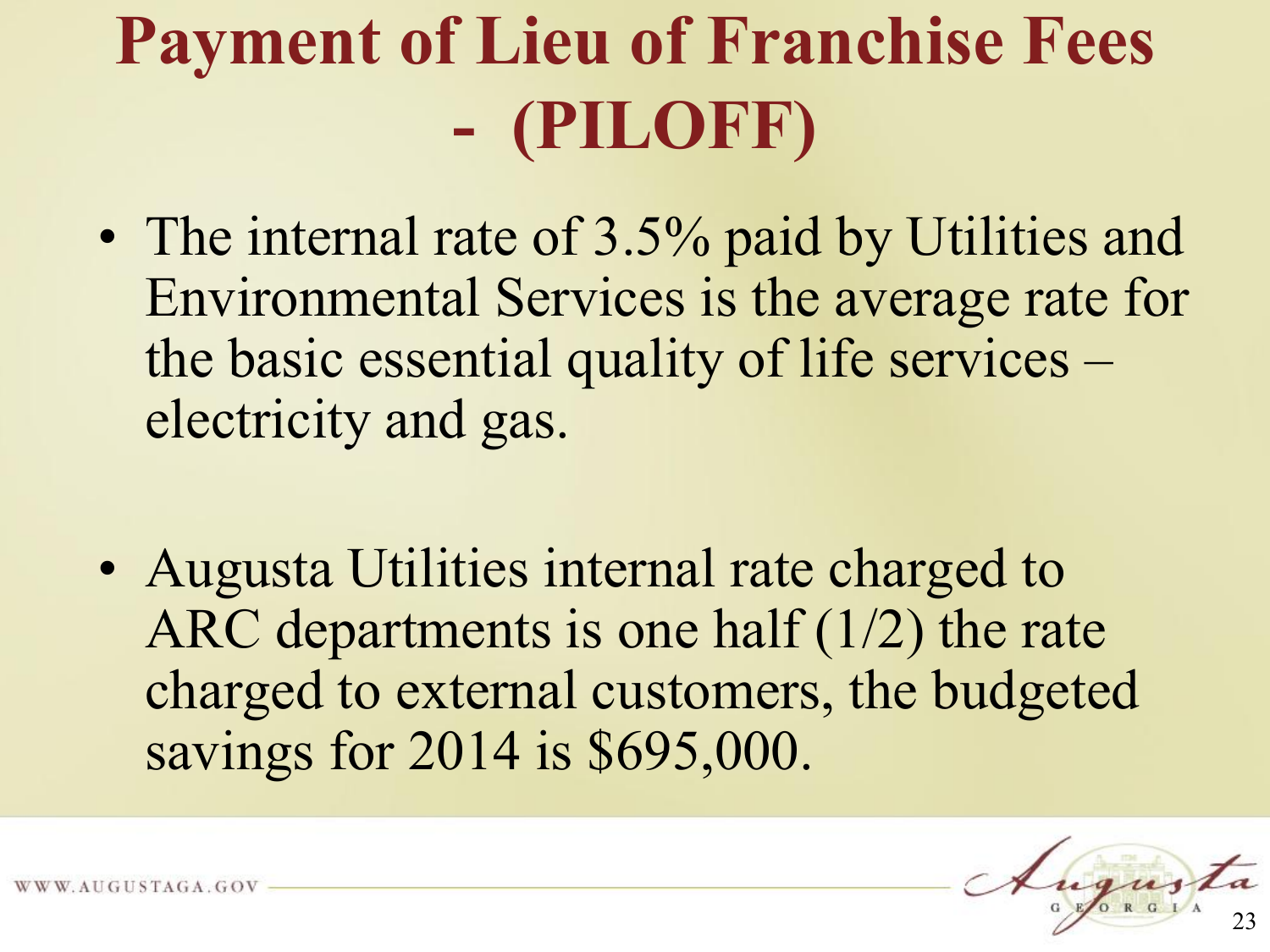## **Payment of Lieu of Franchise Fees - (PILOFF)**

- The internal rate of 3.5% paid by Utilities and Environmental Services is the average rate for the basic essential quality of life services – electricity and gas.
- Augusta Utilities internal rate charged to ARC departments is one half (1/2) the rate charged to external customers, the budgeted savings for 2014 is \$695,000.

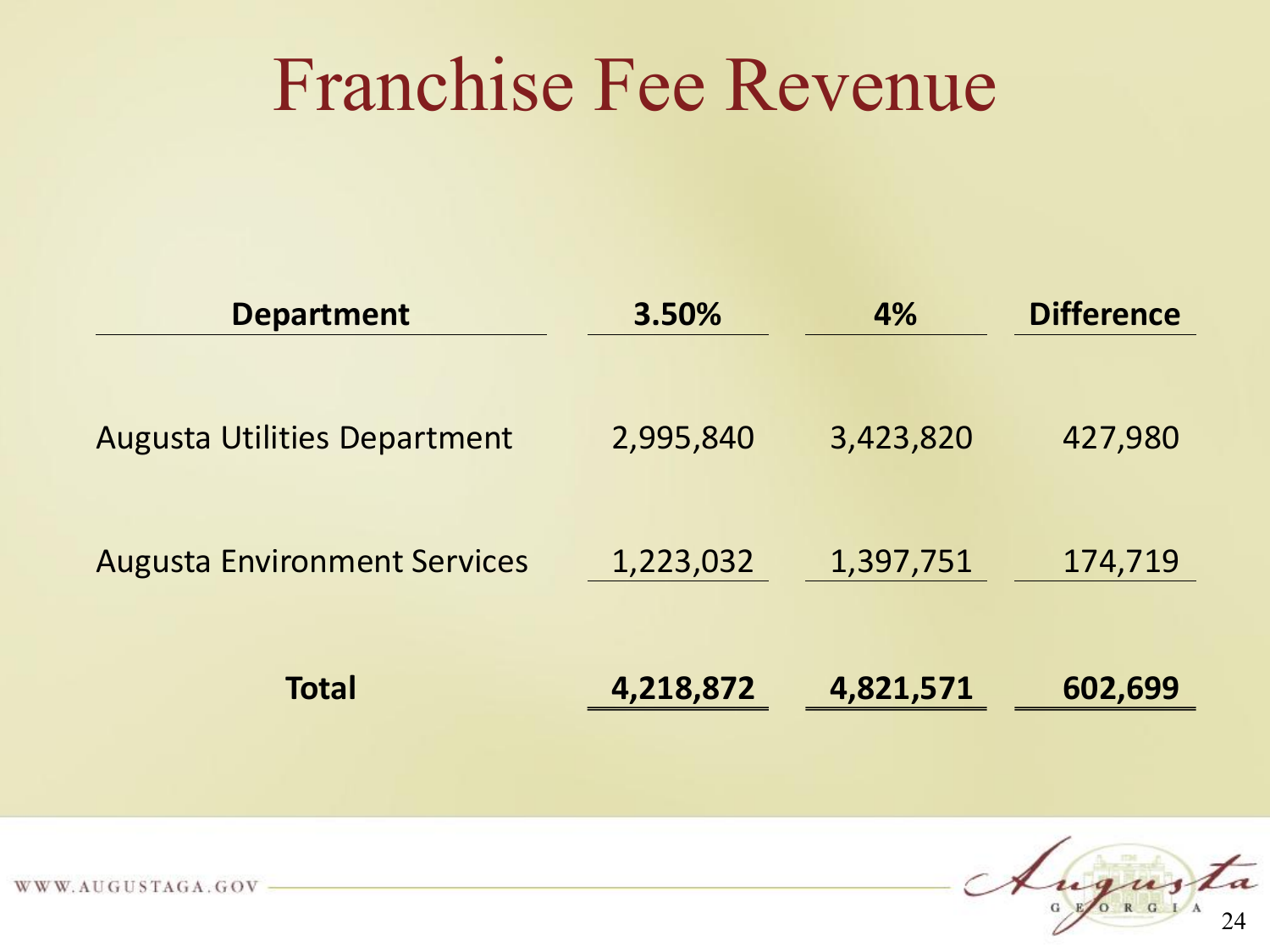#### Franchise Fee Revenue

| <b>Department</b>                   | 4%<br>3.50% |           | <b>Difference</b> |  |
|-------------------------------------|-------------|-----------|-------------------|--|
| <b>Augusta Utilities Department</b> | 2,995,840   | 3,423,820 | 427,980           |  |
| <b>Augusta Environment Services</b> | 1,223,032   | 1,397,751 | 174,719           |  |
| <b>Total</b>                        | 4,218,872   | 4,821,571 | 602,699           |  |

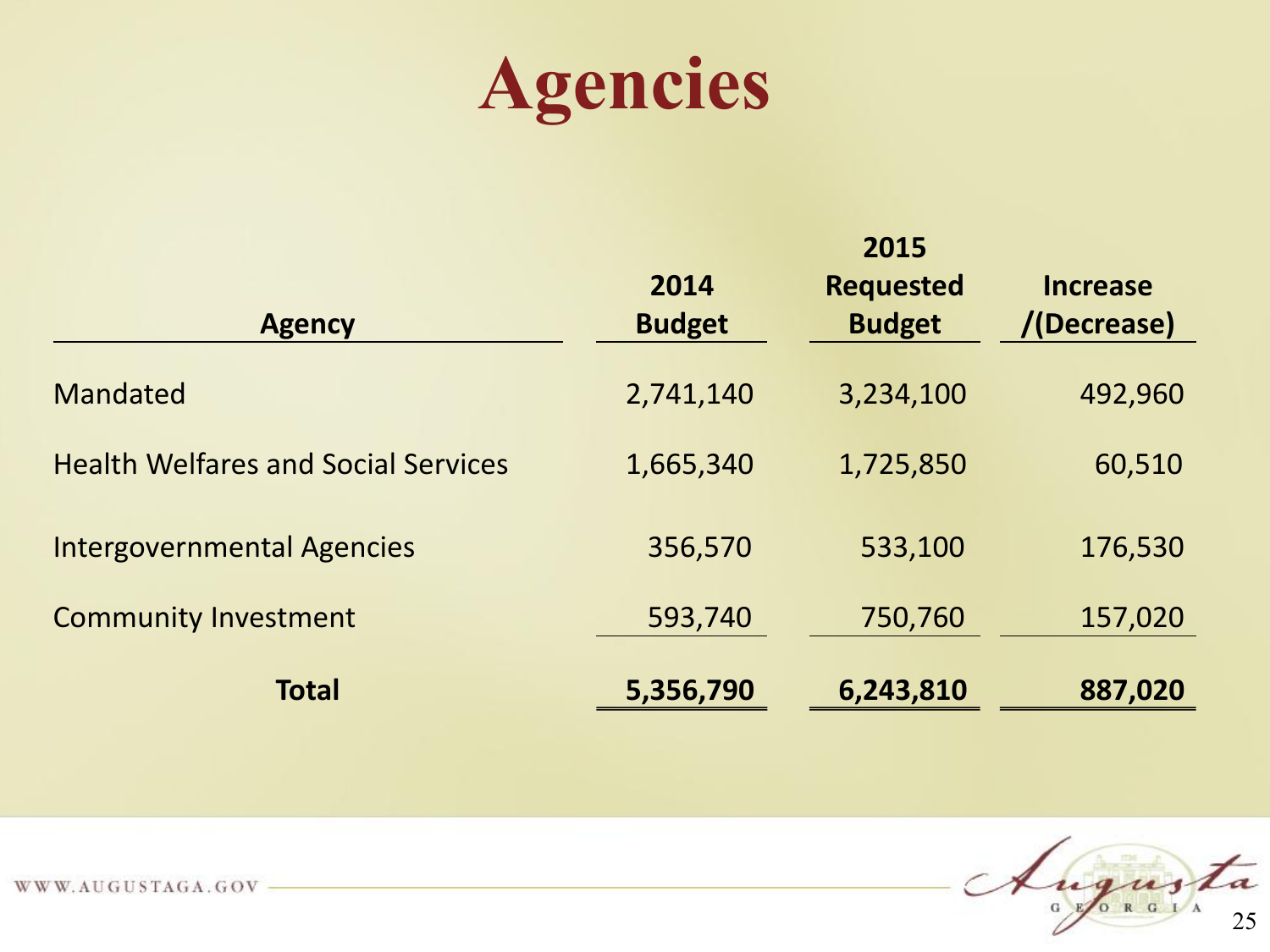

| <b>Agency</b>                              | 2014<br><b>Budget</b> | 2015<br><b>Requested</b><br><b>Budget</b> | <b>Increase</b><br>/(Decrease) |
|--------------------------------------------|-----------------------|-------------------------------------------|--------------------------------|
| <b>Mandated</b>                            | 2,741,140             | 3,234,100                                 | 492,960                        |
| <b>Health Welfares and Social Services</b> | 1,665,340             | 1,725,850                                 | 60,510                         |
| <b>Intergovernmental Agencies</b>          | 356,570               | 533,100                                   | 176,530                        |
| <b>Community Investment</b>                | 593,740               | 750,760                                   | 157,020                        |
| <b>Total</b>                               | 5,356,790             | 6,243,810                                 | 887,020                        |

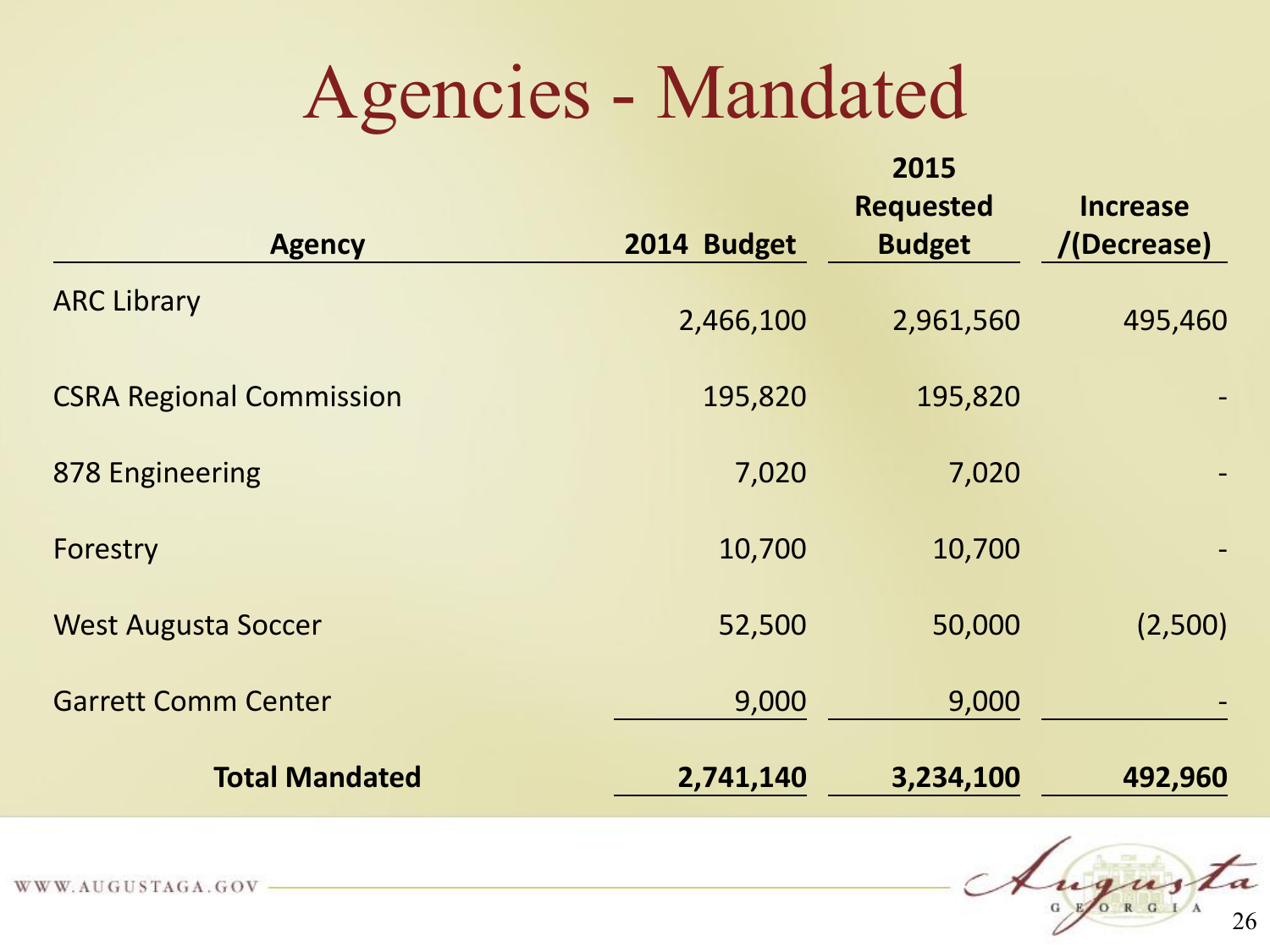#### Agencies - Mandated

| <b>Agency</b>                   | 2014 Budget | 2015<br><b>Requested</b><br><b>Budget</b> | <b>Increase</b><br>/(Decrease) |
|---------------------------------|-------------|-------------------------------------------|--------------------------------|
| <b>ARC Library</b>              | 2,466,100   | 2,961,560                                 | 495,460                        |
| <b>CSRA Regional Commission</b> | 195,820     | 195,820                                   |                                |
| 878 Engineering                 | 7,020       | 7,020                                     |                                |
| Forestry                        | 10,700      | 10,700                                    |                                |
| <b>West Augusta Soccer</b>      | 52,500      | 50,000                                    | (2,500)                        |
| <b>Garrett Comm Center</b>      | 9,000       | 9,000                                     |                                |
| <b>Total Mandated</b>           | 2,741,140   | 3,234,100                                 | 492,960                        |

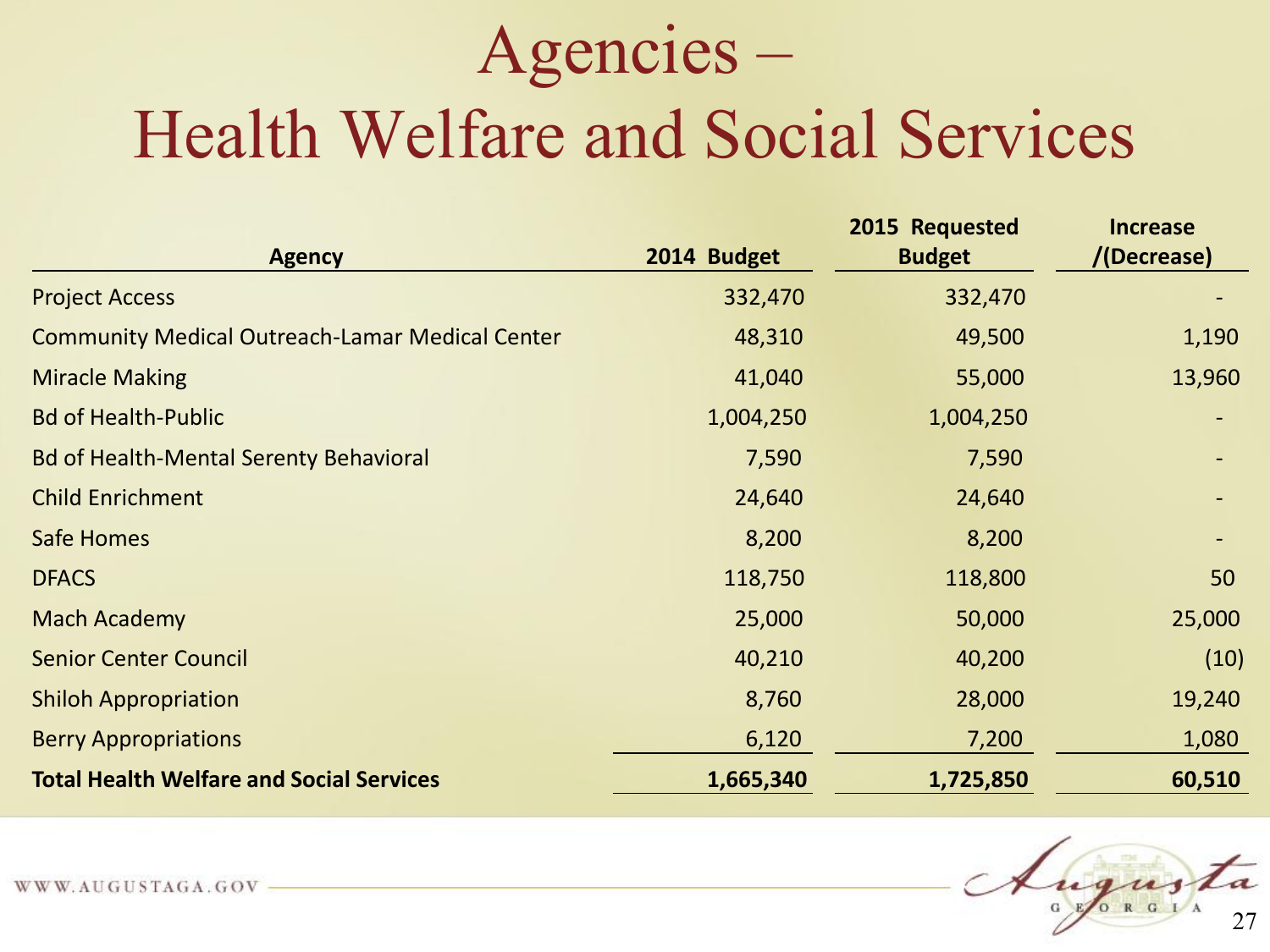#### Agencies –

#### Health Welfare and Social Services

| <b>Agency</b>                                          | 2014 Budget | 2015 Requested<br><b>Budget</b> | <b>Increase</b><br>/(Decrease) |
|--------------------------------------------------------|-------------|---------------------------------|--------------------------------|
| <b>Project Access</b>                                  | 332,470     | 332,470                         |                                |
| <b>Community Medical Outreach-Lamar Medical Center</b> | 48,310      | 49,500                          | 1,190                          |
| <b>Miracle Making</b>                                  | 41,040      | 55,000                          | 13,960                         |
| <b>Bd of Health-Public</b>                             | 1,004,250   | 1,004,250                       |                                |
| <b>Bd of Health-Mental Serenty Behavioral</b>          | 7,590       | 7,590                           |                                |
| <b>Child Enrichment</b>                                | 24,640      | 24,640                          |                                |
| Safe Homes                                             | 8,200       | 8,200                           |                                |
| <b>DFACS</b>                                           | 118,750     | 118,800                         | 50                             |
| <b>Mach Academy</b>                                    | 25,000      | 50,000                          | 25,000                         |
| <b>Senior Center Council</b>                           | 40,210      | 40,200                          | (10)                           |
| <b>Shiloh Appropriation</b>                            | 8,760       | 28,000                          | 19,240                         |
| <b>Berry Appropriations</b>                            | 6,120       | 7,200                           | 1,080                          |
| <b>Total Health Welfare and Social Services</b>        | 1,665,340   | 1,725,850                       | 60,510                         |

27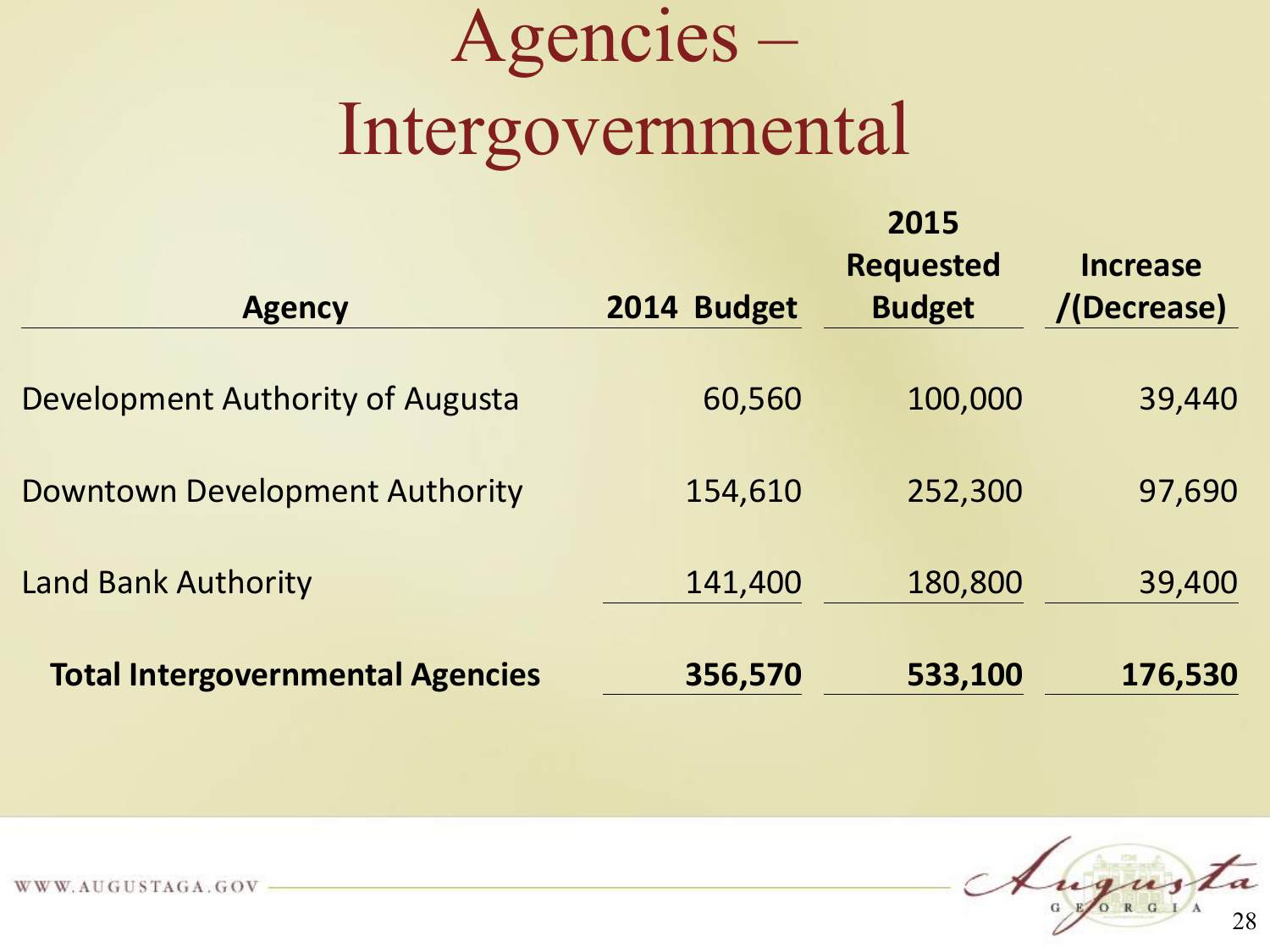## Agencies – Intergovernmental

**2015** 

| <b>Agency</b>                           | 2014 Budget | <b>ZUIJ</b><br><b>Requested</b><br><b>Budget</b> | <b>Increase</b><br>/(Decrease) |
|-----------------------------------------|-------------|--------------------------------------------------|--------------------------------|
| Development Authority of Augusta        | 60,560      | 100,000                                          | 39,440                         |
| <b>Downtown Development Authority</b>   | 154,610     | 252,300                                          | 97,690                         |
| <b>Land Bank Authority</b>              | 141,400     | 180,800                                          | 39,400                         |
| <b>Total Intergovernmental Agencies</b> | 356,570     | 533,100                                          | 176,530                        |

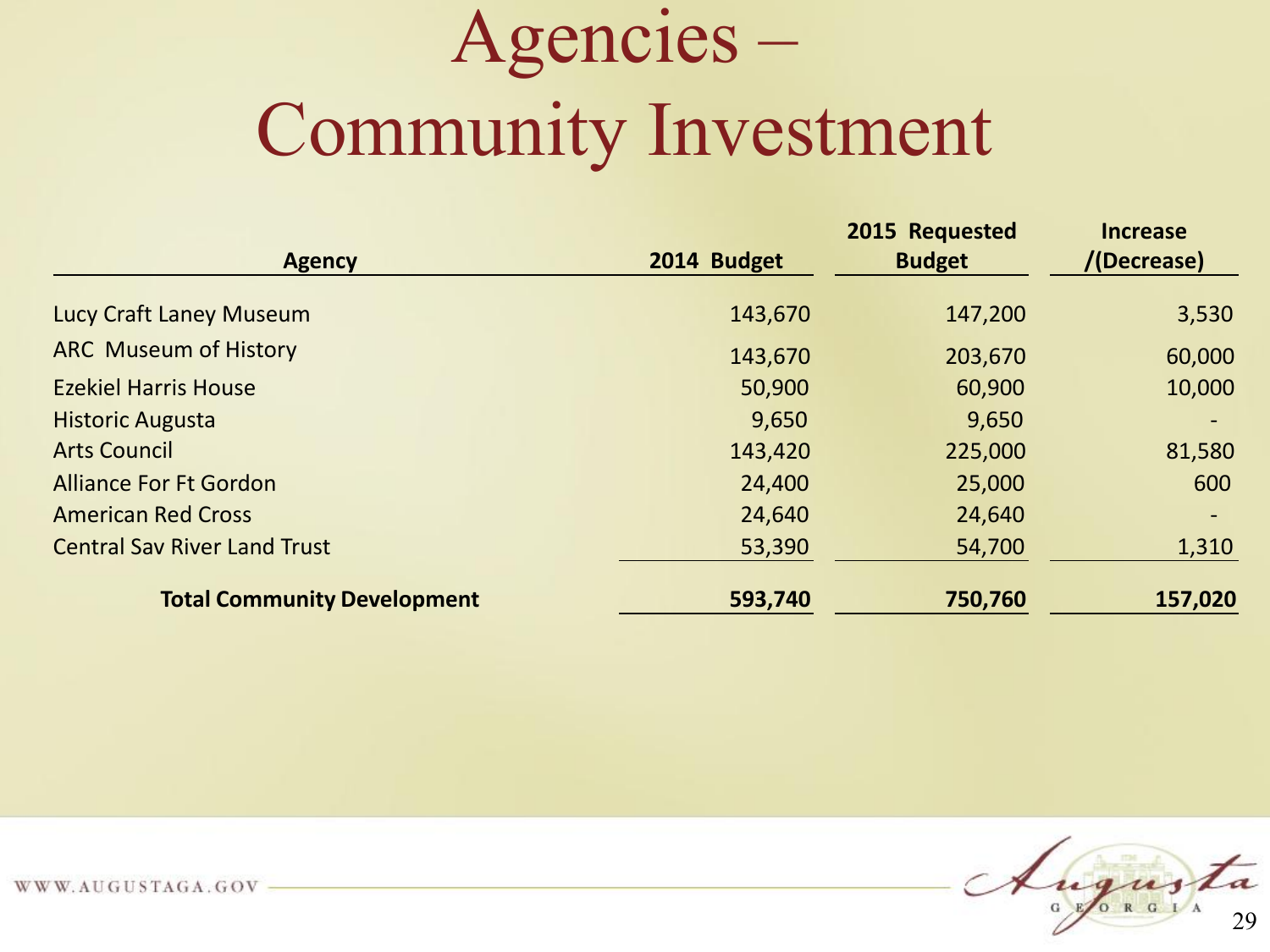## Agencies – Community Investment

| <b>Agency</b>                       | 2014 Budget | 2015 Requested<br><b>Budget</b> | <b>Increase</b><br>/(Decrease) |  |
|-------------------------------------|-------------|---------------------------------|--------------------------------|--|
|                                     |             |                                 |                                |  |
| Lucy Craft Laney Museum             | 143,670     | 147,200                         | 3,530                          |  |
| <b>ARC Museum of History</b>        | 143,670     | 203,670                         | 60,000                         |  |
| <b>Ezekiel Harris House</b>         | 50,900      | 60,900                          | 10,000                         |  |
| <b>Historic Augusta</b>             | 9,650       | 9,650                           |                                |  |
| <b>Arts Council</b>                 | 143,420     | 225,000                         | 81,580                         |  |
| <b>Alliance For Ft Gordon</b>       | 24,400      | 25,000                          | 600                            |  |
| <b>American Red Cross</b>           | 24,640      | 24,640                          |                                |  |
| <b>Central Sav River Land Trust</b> | 53,390      | 54,700                          | 1,310                          |  |
| <b>Total Community Development</b>  | 593,740     | 750,760                         | 157,020                        |  |

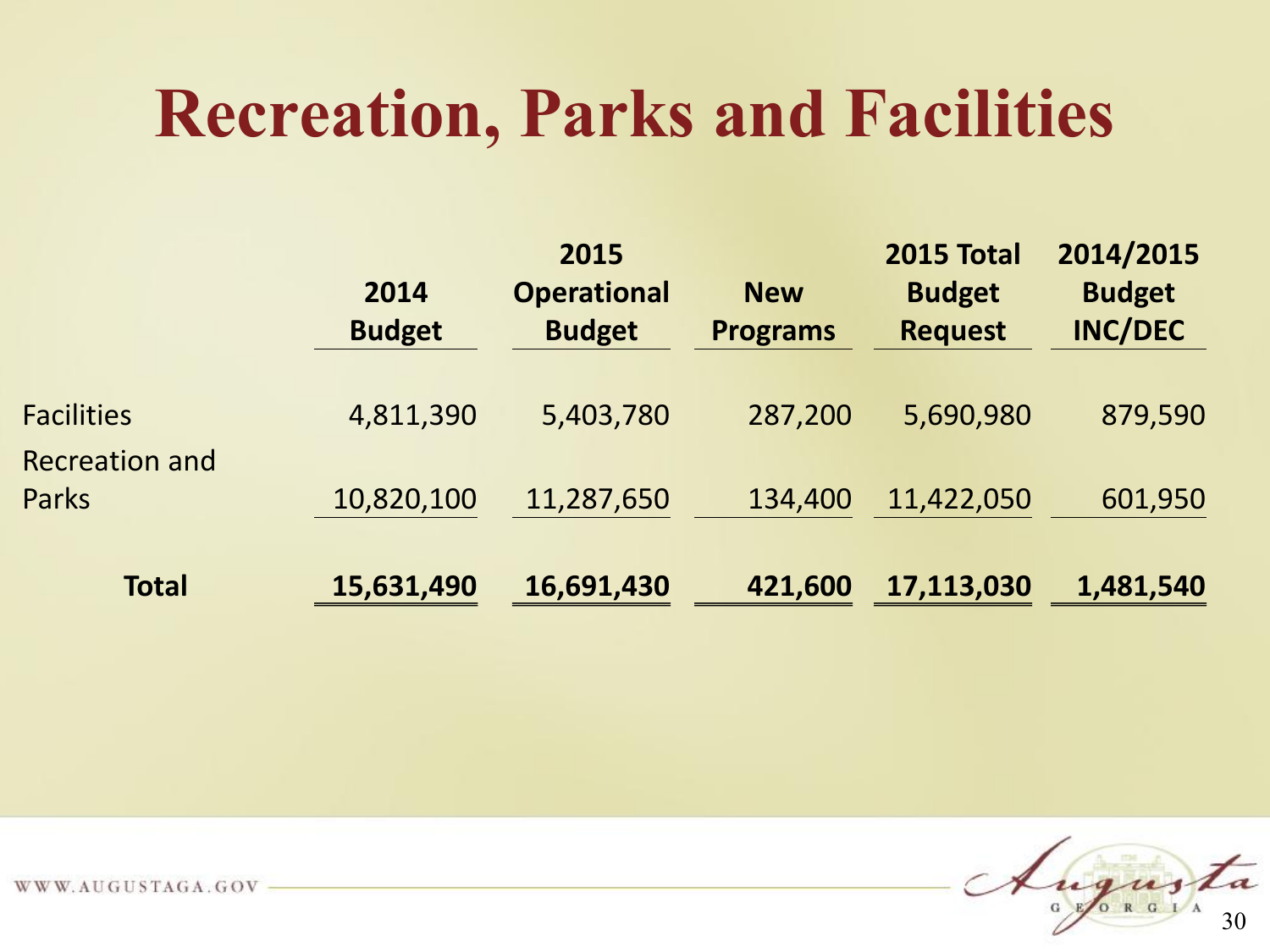#### **Recreation, Parks and Facilities**

|                                            | 2014<br><b>Budget</b> | 2015<br><b>Operational</b><br><b>Budget</b> | <b>New</b><br><b>Programs</b> | <b>2015 Total</b><br><b>Budget</b><br><b>Request</b> | 2014/2015<br><b>Budget</b><br><b>INC/DEC</b> |
|--------------------------------------------|-----------------------|---------------------------------------------|-------------------------------|------------------------------------------------------|----------------------------------------------|
| <b>Facilities</b><br><b>Recreation and</b> | 4,811,390             | 5,403,780                                   | 287,200                       | 5,690,980                                            | 879,590                                      |
| Parks                                      | 10,820,100            | 11,287,650                                  | 134,400                       | 11,422,050                                           | 601,950                                      |
| <b>Total</b>                               | 15,631,490            | 16,691,430                                  | 421,600                       | 17,113,030                                           | 1,481,540                                    |

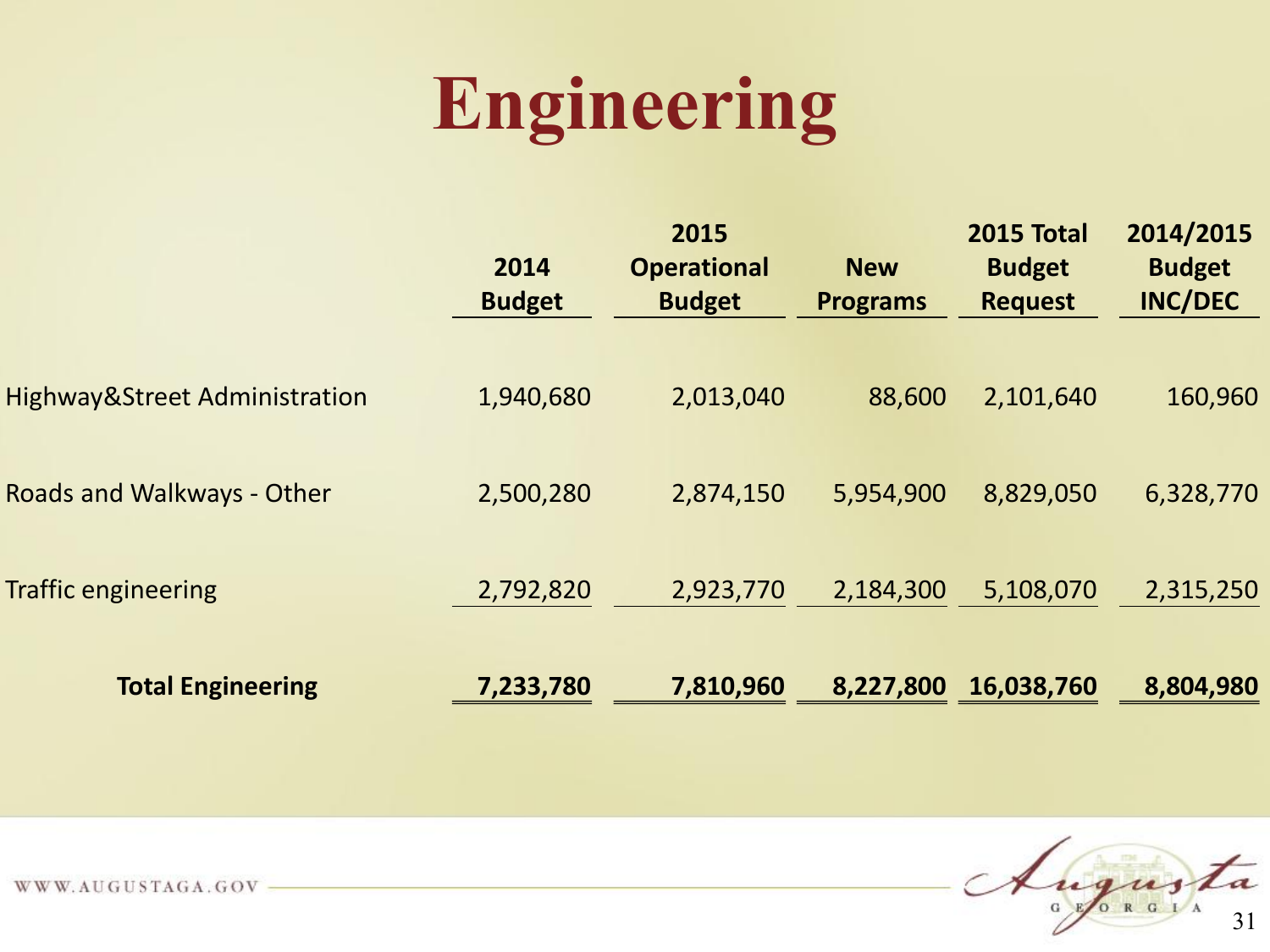## **Engineering**

|                                          | 2014<br><b>Budget</b> | 2015<br><b>Operational</b><br><b>Budget</b> | <b>New</b><br><b>Programs</b> | <b>2015 Total</b><br><b>Budget</b><br><b>Request</b> | 2014/2015<br><b>Budget</b><br><b>INC/DEC</b> |
|------------------------------------------|-----------------------|---------------------------------------------|-------------------------------|------------------------------------------------------|----------------------------------------------|
| <b>Highway&amp;Street Administration</b> | 1,940,680             | 2,013,040                                   | 88,600                        | 2,101,640                                            | 160,960                                      |
| Roads and Walkways - Other               | 2,500,280             | 2,874,150                                   | 5,954,900                     | 8,829,050                                            | 6,328,770                                    |
| <b>Traffic engineering</b>               | 2,792,820             | 2,923,770                                   | 2,184,300                     | 5,108,070                                            | 2,315,250                                    |
| <b>Total Engineering</b>                 | 7,233,780             | 7,810,960                                   | 8,227,800                     | 16,038,760                                           | 8,804,980                                    |

Augusta